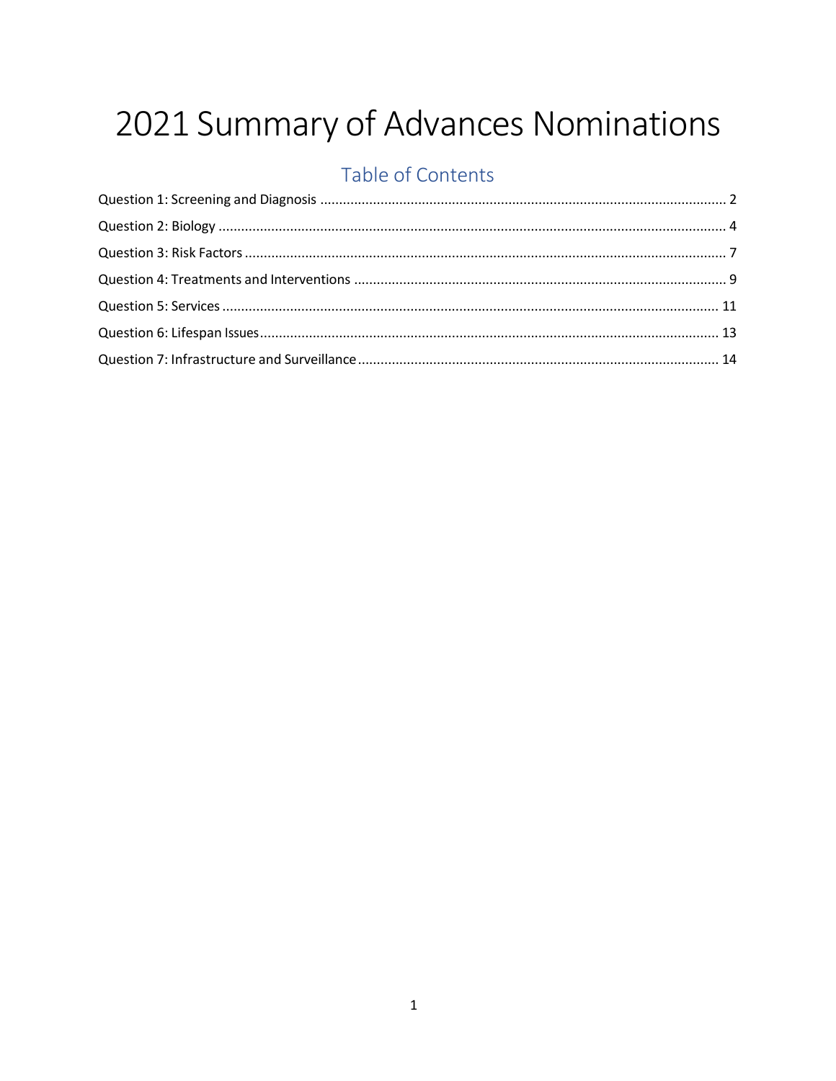# 2021 Summary of Advances Nominations

### Table of Contents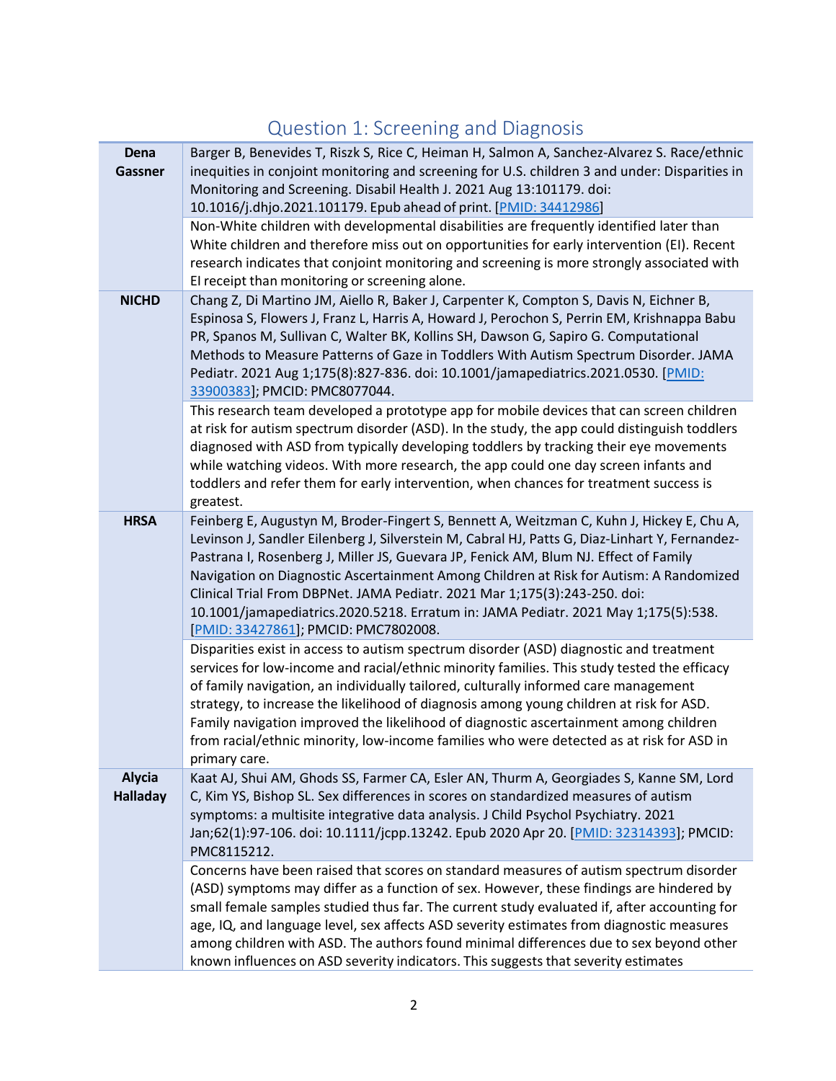# Question 1: Screening and Diagnosis

<span id="page-1-0"></span>

| Dena<br><b>Gassner</b>           | Barger B, Benevides T, Riszk S, Rice C, Heiman H, Salmon A, Sanchez-Alvarez S. Race/ethnic<br>inequities in conjoint monitoring and screening for U.S. children 3 and under: Disparities in<br>Monitoring and Screening. Disabil Health J. 2021 Aug 13:101179. doi:<br>10.1016/j.dhjo.2021.101179. Epub ahead of print. [PMID: 34412986]                                                                                                                                                                                                                                                 |
|----------------------------------|------------------------------------------------------------------------------------------------------------------------------------------------------------------------------------------------------------------------------------------------------------------------------------------------------------------------------------------------------------------------------------------------------------------------------------------------------------------------------------------------------------------------------------------------------------------------------------------|
|                                  | Non-White children with developmental disabilities are frequently identified later than<br>White children and therefore miss out on opportunities for early intervention (EI). Recent<br>research indicates that conjoint monitoring and screening is more strongly associated with<br>El receipt than monitoring or screening alone.                                                                                                                                                                                                                                                    |
| <b>NICHD</b>                     | Chang Z, Di Martino JM, Aiello R, Baker J, Carpenter K, Compton S, Davis N, Eichner B,<br>Espinosa S, Flowers J, Franz L, Harris A, Howard J, Perochon S, Perrin EM, Krishnappa Babu<br>PR, Spanos M, Sullivan C, Walter BK, Kollins SH, Dawson G, Sapiro G. Computational<br>Methods to Measure Patterns of Gaze in Toddlers With Autism Spectrum Disorder. JAMA<br>Pediatr. 2021 Aug 1;175(8):827-836. doi: 10.1001/jamapediatrics.2021.0530. [PMID:<br>33900383]; PMCID: PMC8077044.                                                                                                  |
|                                  | This research team developed a prototype app for mobile devices that can screen children<br>at risk for autism spectrum disorder (ASD). In the study, the app could distinguish toddlers<br>diagnosed with ASD from typically developing toddlers by tracking their eye movements<br>while watching videos. With more research, the app could one day screen infants and<br>toddlers and refer them for early intervention, when chances for treatment success is<br>greatest.                                                                                                           |
| <b>HRSA</b>                      | Feinberg E, Augustyn M, Broder-Fingert S, Bennett A, Weitzman C, Kuhn J, Hickey E, Chu A,<br>Levinson J, Sandler Eilenberg J, Silverstein M, Cabral HJ, Patts G, Diaz-Linhart Y, Fernandez-<br>Pastrana I, Rosenberg J, Miller JS, Guevara JP, Fenick AM, Blum NJ. Effect of Family<br>Navigation on Diagnostic Ascertainment Among Children at Risk for Autism: A Randomized<br>Clinical Trial From DBPNet. JAMA Pediatr. 2021 Mar 1;175(3):243-250. doi:<br>10.1001/jamapediatrics.2020.5218. Erratum in: JAMA Pediatr. 2021 May 1;175(5):538.<br>[PMID: 33427861]; PMCID: PMC7802008. |
|                                  | Disparities exist in access to autism spectrum disorder (ASD) diagnostic and treatment<br>services for low-income and racial/ethnic minority families. This study tested the efficacy<br>of family navigation, an individually tailored, culturally informed care management<br>strategy, to increase the likelihood of diagnosis among young children at risk for ASD.<br>Family navigation improved the likelihood of diagnostic ascertainment among children<br>from racial/ethnic minority, low-income families who were detected as at risk for ASD in<br>primary care.             |
| <b>Alycia</b><br><b>Halladay</b> | Kaat AJ, Shui AM, Ghods SS, Farmer CA, Esler AN, Thurm A, Georgiades S, Kanne SM, Lord<br>C, Kim YS, Bishop SL. Sex differences in scores on standardized measures of autism<br>symptoms: a multisite integrative data analysis. J Child Psychol Psychiatry. 2021<br>Jan;62(1):97-106. doi: 10.1111/jcpp.13242. Epub 2020 Apr 20. [PMID: 32314393]; PMCID:<br>PMC8115212.                                                                                                                                                                                                                |
|                                  | Concerns have been raised that scores on standard measures of autism spectrum disorder<br>(ASD) symptoms may differ as a function of sex. However, these findings are hindered by<br>small female samples studied thus far. The current study evaluated if, after accounting for<br>age, IQ, and language level, sex affects ASD severity estimates from diagnostic measures<br>among children with ASD. The authors found minimal differences due to sex beyond other<br>known influences on ASD severity indicators. This suggests that severity estimates                             |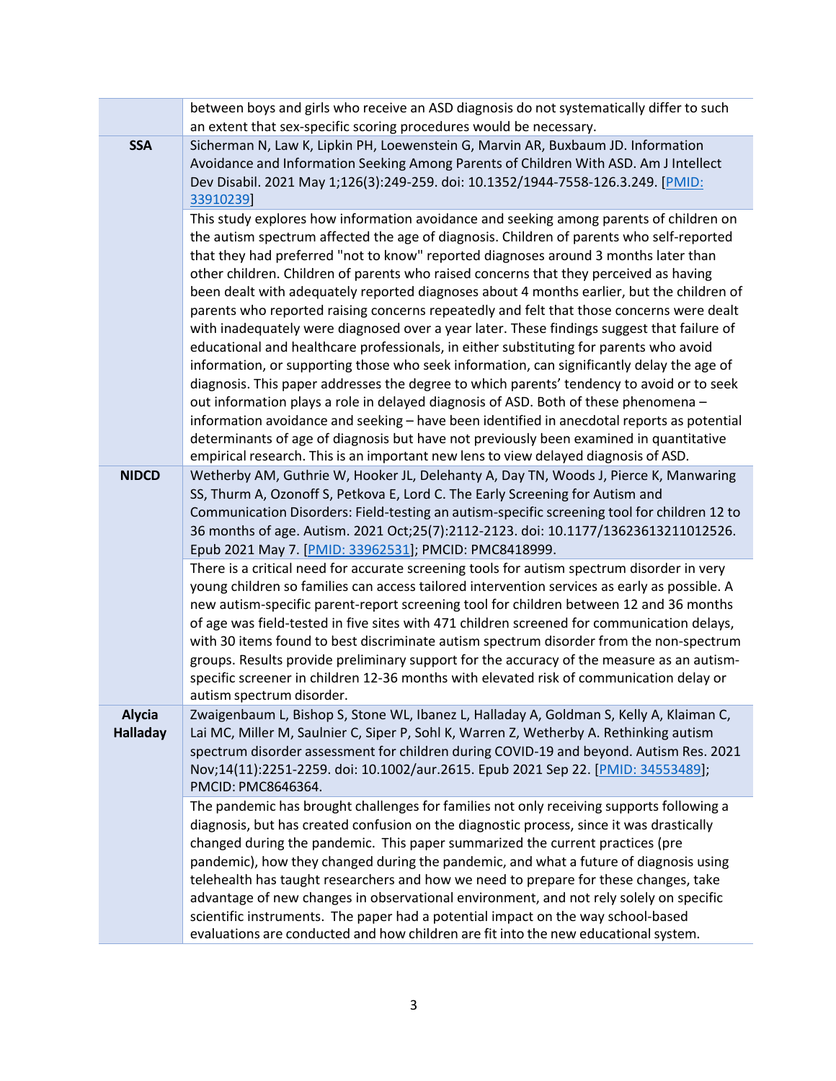|                                  | between boys and girls who receive an ASD diagnosis do not systematically differ to such                                                                                                                                                                                                                                                                                                                                                                                                                                                                                                                                                                                                                                                                                                                                                                                                                                                                                                                                                                                                                                                                                                                                                                                                                            |
|----------------------------------|---------------------------------------------------------------------------------------------------------------------------------------------------------------------------------------------------------------------------------------------------------------------------------------------------------------------------------------------------------------------------------------------------------------------------------------------------------------------------------------------------------------------------------------------------------------------------------------------------------------------------------------------------------------------------------------------------------------------------------------------------------------------------------------------------------------------------------------------------------------------------------------------------------------------------------------------------------------------------------------------------------------------------------------------------------------------------------------------------------------------------------------------------------------------------------------------------------------------------------------------------------------------------------------------------------------------|
|                                  | an extent that sex-specific scoring procedures would be necessary.                                                                                                                                                                                                                                                                                                                                                                                                                                                                                                                                                                                                                                                                                                                                                                                                                                                                                                                                                                                                                                                                                                                                                                                                                                                  |
| <b>SSA</b>                       | Sicherman N, Law K, Lipkin PH, Loewenstein G, Marvin AR, Buxbaum JD. Information<br>Avoidance and Information Seeking Among Parents of Children With ASD. Am J Intellect<br>Dev Disabil. 2021 May 1;126(3):249-259. doi: 10.1352/1944-7558-126.3.249. [PMID:<br>33910239]                                                                                                                                                                                                                                                                                                                                                                                                                                                                                                                                                                                                                                                                                                                                                                                                                                                                                                                                                                                                                                           |
|                                  | This study explores how information avoidance and seeking among parents of children on<br>the autism spectrum affected the age of diagnosis. Children of parents who self-reported<br>that they had preferred "not to know" reported diagnoses around 3 months later than<br>other children. Children of parents who raised concerns that they perceived as having<br>been dealt with adequately reported diagnoses about 4 months earlier, but the children of<br>parents who reported raising concerns repeatedly and felt that those concerns were dealt<br>with inadequately were diagnosed over a year later. These findings suggest that failure of<br>educational and healthcare professionals, in either substituting for parents who avoid<br>information, or supporting those who seek information, can significantly delay the age of<br>diagnosis. This paper addresses the degree to which parents' tendency to avoid or to seek<br>out information plays a role in delayed diagnosis of ASD. Both of these phenomena -<br>information avoidance and seeking - have been identified in anecdotal reports as potential<br>determinants of age of diagnosis but have not previously been examined in quantitative<br>empirical research. This is an important new lens to view delayed diagnosis of ASD. |
| <b>NIDCD</b>                     | Wetherby AM, Guthrie W, Hooker JL, Delehanty A, Day TN, Woods J, Pierce K, Manwaring<br>SS, Thurm A, Ozonoff S, Petkova E, Lord C. The Early Screening for Autism and<br>Communication Disorders: Field-testing an autism-specific screening tool for children 12 to<br>36 months of age. Autism. 2021 Oct;25(7):2112-2123. doi: 10.1177/13623613211012526.<br>Epub 2021 May 7. [PMID: 33962531]; PMCID: PMC8418999.<br>There is a critical need for accurate screening tools for autism spectrum disorder in very<br>young children so families can access tailored intervention services as early as possible. A<br>new autism-specific parent-report screening tool for children between 12 and 36 months<br>of age was field-tested in five sites with 471 children screened for communication delays,<br>with 30 items found to best discriminate autism spectrum disorder from the non-spectrum<br>groups. Results provide preliminary support for the accuracy of the measure as an autism-<br>specific screener in children 12-36 months with elevated risk of communication delay or<br>autism spectrum disorder.                                                                                                                                                                                          |
| <b>Alycia</b><br><b>Halladay</b> | Zwaigenbaum L, Bishop S, Stone WL, Ibanez L, Halladay A, Goldman S, Kelly A, Klaiman C,<br>Lai MC, Miller M, Saulnier C, Siper P, Sohl K, Warren Z, Wetherby A. Rethinking autism<br>spectrum disorder assessment for children during COVID-19 and beyond. Autism Res. 2021<br>Nov;14(11):2251-2259. doi: 10.1002/aur.2615. Epub 2021 Sep 22. [PMID: 34553489];<br>PMCID: PMC8646364.                                                                                                                                                                                                                                                                                                                                                                                                                                                                                                                                                                                                                                                                                                                                                                                                                                                                                                                               |
|                                  | The pandemic has brought challenges for families not only receiving supports following a<br>diagnosis, but has created confusion on the diagnostic process, since it was drastically<br>changed during the pandemic. This paper summarized the current practices (pre<br>pandemic), how they changed during the pandemic, and what a future of diagnosis using<br>telehealth has taught researchers and how we need to prepare for these changes, take<br>advantage of new changes in observational environment, and not rely solely on specific<br>scientific instruments. The paper had a potential impact on the way school-based<br>evaluations are conducted and how children are fit into the new educational system.                                                                                                                                                                                                                                                                                                                                                                                                                                                                                                                                                                                         |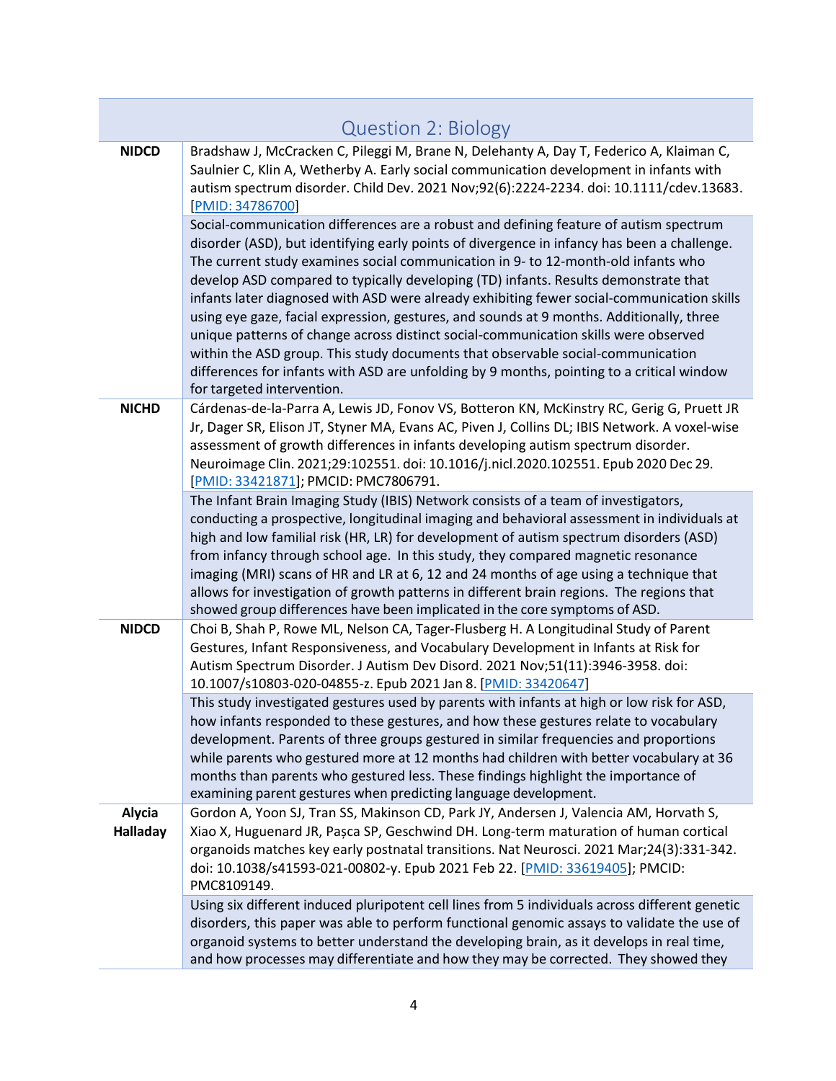|                           | <b>Question 2: Biology</b>                                                                                                                                                                                                                                                                                                                                                                                                                                                                                                                                                                                                                                                                                                                                                                                                                                      |
|---------------------------|-----------------------------------------------------------------------------------------------------------------------------------------------------------------------------------------------------------------------------------------------------------------------------------------------------------------------------------------------------------------------------------------------------------------------------------------------------------------------------------------------------------------------------------------------------------------------------------------------------------------------------------------------------------------------------------------------------------------------------------------------------------------------------------------------------------------------------------------------------------------|
| <b>NIDCD</b>              | Bradshaw J, McCracken C, Pileggi M, Brane N, Delehanty A, Day T, Federico A, Klaiman C,<br>Saulnier C, Klin A, Wetherby A. Early social communication development in infants with<br>autism spectrum disorder. Child Dev. 2021 Nov;92(6):2224-2234. doi: 10.1111/cdev.13683.<br>[PMID: 34786700]                                                                                                                                                                                                                                                                                                                                                                                                                                                                                                                                                                |
|                           | Social-communication differences are a robust and defining feature of autism spectrum<br>disorder (ASD), but identifying early points of divergence in infancy has been a challenge.<br>The current study examines social communication in 9- to 12-month-old infants who<br>develop ASD compared to typically developing (TD) infants. Results demonstrate that<br>infants later diagnosed with ASD were already exhibiting fewer social-communication skills<br>using eye gaze, facial expression, gestures, and sounds at 9 months. Additionally, three<br>unique patterns of change across distinct social-communication skills were observed<br>within the ASD group. This study documents that observable social-communication<br>differences for infants with ASD are unfolding by 9 months, pointing to a critical window<br>for targeted intervention. |
| <b>NICHD</b>              | Cárdenas-de-la-Parra A, Lewis JD, Fonov VS, Botteron KN, McKinstry RC, Gerig G, Pruett JR<br>Jr, Dager SR, Elison JT, Styner MA, Evans AC, Piven J, Collins DL; IBIS Network. A voxel-wise<br>assessment of growth differences in infants developing autism spectrum disorder.<br>Neuroimage Clin. 2021;29:102551. doi: 10.1016/j.nicl.2020.102551. Epub 2020 Dec 29.<br>[PMID: 33421871]; PMCID: PMC7806791.                                                                                                                                                                                                                                                                                                                                                                                                                                                   |
|                           | The Infant Brain Imaging Study (IBIS) Network consists of a team of investigators,<br>conducting a prospective, longitudinal imaging and behavioral assessment in individuals at<br>high and low familial risk (HR, LR) for development of autism spectrum disorders (ASD)<br>from infancy through school age. In this study, they compared magnetic resonance<br>imaging (MRI) scans of HR and LR at 6, 12 and 24 months of age using a technique that<br>allows for investigation of growth patterns in different brain regions. The regions that<br>showed group differences have been implicated in the core symptoms of ASD.                                                                                                                                                                                                                               |
| <b>NIDCD</b>              | Choi B, Shah P, Rowe ML, Nelson CA, Tager-Flusberg H. A Longitudinal Study of Parent<br>Gestures, Infant Responsiveness, and Vocabulary Development in Infants at Risk for<br>Autism Spectrum Disorder. J Autism Dev Disord. 2021 Nov;51(11):3946-3958. doi:<br>10.1007/s10803-020-04855-z. Epub 2021 Jan 8. [PMID: 33420647]                                                                                                                                                                                                                                                                                                                                                                                                                                                                                                                                   |
|                           | This study investigated gestures used by parents with infants at high or low risk for ASD,<br>how infants responded to these gestures, and how these gestures relate to vocabulary<br>development. Parents of three groups gestured in similar frequencies and proportions<br>while parents who gestured more at 12 months had children with better vocabulary at 36<br>months than parents who gestured less. These findings highlight the importance of<br>examining parent gestures when predicting language development.                                                                                                                                                                                                                                                                                                                                    |
| Alycia<br><b>Halladay</b> | Gordon A, Yoon SJ, Tran SS, Makinson CD, Park JY, Andersen J, Valencia AM, Horvath S,<br>Xiao X, Huguenard JR, Pașca SP, Geschwind DH. Long-term maturation of human cortical<br>organoids matches key early postnatal transitions. Nat Neurosci. 2021 Mar;24(3):331-342.<br>doi: 10.1038/s41593-021-00802-y. Epub 2021 Feb 22. [PMID: 33619405]; PMCID:<br>PMC8109149.                                                                                                                                                                                                                                                                                                                                                                                                                                                                                         |
|                           | Using six different induced pluripotent cell lines from 5 individuals across different genetic<br>disorders, this paper was able to perform functional genomic assays to validate the use of<br>organoid systems to better understand the developing brain, as it develops in real time,<br>and how processes may differentiate and how they may be corrected. They showed they                                                                                                                                                                                                                                                                                                                                                                                                                                                                                 |

<span id="page-3-0"></span>П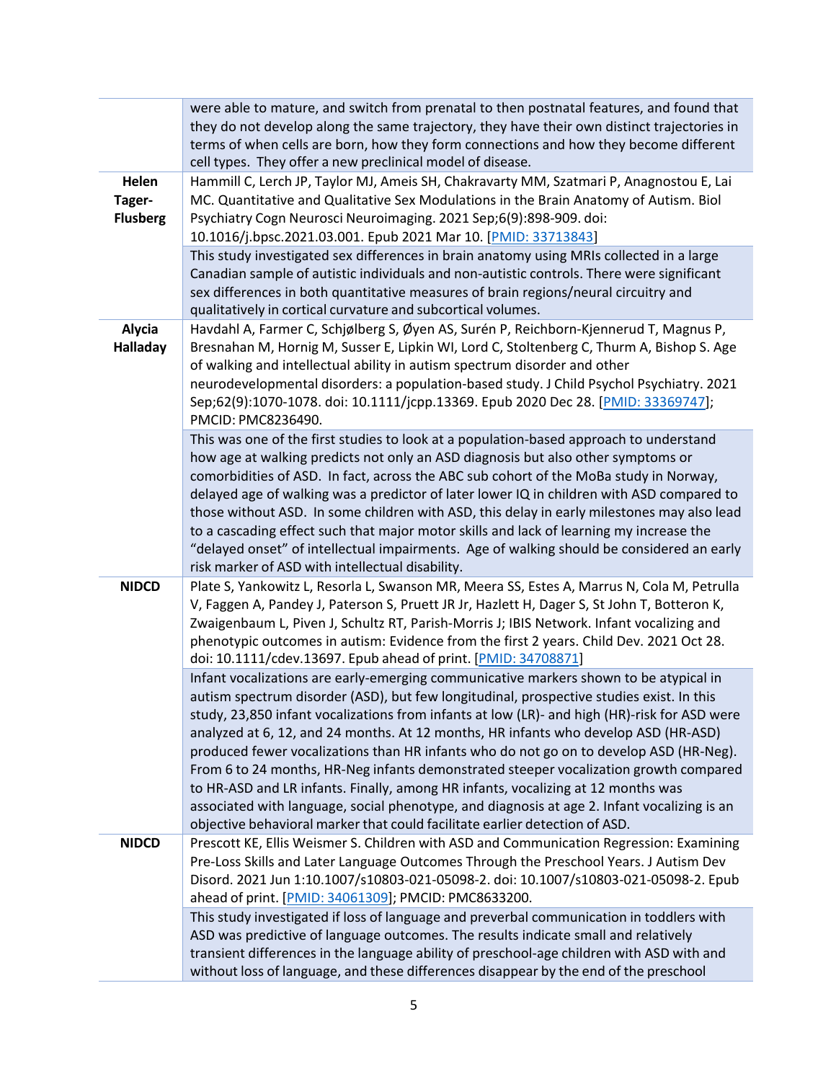|                                    | were able to mature, and switch from prenatal to then postnatal features, and found that<br>they do not develop along the same trajectory, they have their own distinct trajectories in<br>terms of when cells are born, how they form connections and how they become different<br>cell types. They offer a new preclinical model of disease.                                                                                                                                                                                                                                                                                                                                                                                                                                                                                |
|------------------------------------|-------------------------------------------------------------------------------------------------------------------------------------------------------------------------------------------------------------------------------------------------------------------------------------------------------------------------------------------------------------------------------------------------------------------------------------------------------------------------------------------------------------------------------------------------------------------------------------------------------------------------------------------------------------------------------------------------------------------------------------------------------------------------------------------------------------------------------|
| Helen<br>Tager-<br><b>Flusberg</b> | Hammill C, Lerch JP, Taylor MJ, Ameis SH, Chakravarty MM, Szatmari P, Anagnostou E, Lai<br>MC. Quantitative and Qualitative Sex Modulations in the Brain Anatomy of Autism. Biol<br>Psychiatry Cogn Neurosci Neuroimaging. 2021 Sep;6(9):898-909. doi:<br>10.1016/j.bpsc.2021.03.001. Epub 2021 Mar 10. [PMID: 33713843]                                                                                                                                                                                                                                                                                                                                                                                                                                                                                                      |
|                                    | This study investigated sex differences in brain anatomy using MRIs collected in a large<br>Canadian sample of autistic individuals and non-autistic controls. There were significant<br>sex differences in both quantitative measures of brain regions/neural circuitry and<br>qualitatively in cortical curvature and subcortical volumes.                                                                                                                                                                                                                                                                                                                                                                                                                                                                                  |
| <b>Alycia</b><br><b>Halladay</b>   | Havdahl A, Farmer C, Schjølberg S, Øyen AS, Surén P, Reichborn-Kjennerud T, Magnus P,<br>Bresnahan M, Hornig M, Susser E, Lipkin WI, Lord C, Stoltenberg C, Thurm A, Bishop S. Age<br>of walking and intellectual ability in autism spectrum disorder and other<br>neurodevelopmental disorders: a population-based study. J Child Psychol Psychiatry. 2021<br>Sep;62(9):1070-1078. doi: 10.1111/jcpp.13369. Epub 2020 Dec 28. [PMID: 33369747];<br>PMCID: PMC8236490.                                                                                                                                                                                                                                                                                                                                                        |
|                                    | This was one of the first studies to look at a population-based approach to understand<br>how age at walking predicts not only an ASD diagnosis but also other symptoms or<br>comorbidities of ASD. In fact, across the ABC sub cohort of the MoBa study in Norway,<br>delayed age of walking was a predictor of later lower IQ in children with ASD compared to<br>those without ASD. In some children with ASD, this delay in early milestones may also lead<br>to a cascading effect such that major motor skills and lack of learning my increase the<br>"delayed onset" of intellectual impairments. Age of walking should be considered an early<br>risk marker of ASD with intellectual disability.                                                                                                                    |
| <b>NIDCD</b>                       | Plate S, Yankowitz L, Resorla L, Swanson MR, Meera SS, Estes A, Marrus N, Cola M, Petrulla<br>V, Faggen A, Pandey J, Paterson S, Pruett JR Jr, Hazlett H, Dager S, St John T, Botteron K,<br>Zwaigenbaum L, Piven J, Schultz RT, Parish-Morris J; IBIS Network. Infant vocalizing and<br>phenotypic outcomes in autism: Evidence from the first 2 years. Child Dev. 2021 Oct 28.<br>doi: 10.1111/cdev.13697. Epub ahead of print. [PMID: 34708871]                                                                                                                                                                                                                                                                                                                                                                            |
|                                    | Infant vocalizations are early-emerging communicative markers shown to be atypical in<br>autism spectrum disorder (ASD), but few longitudinal, prospective studies exist. In this<br>study, 23,850 infant vocalizations from infants at low (LR)- and high (HR)-risk for ASD were<br>analyzed at 6, 12, and 24 months. At 12 months, HR infants who develop ASD (HR-ASD)<br>produced fewer vocalizations than HR infants who do not go on to develop ASD (HR-Neg).<br>From 6 to 24 months, HR-Neg infants demonstrated steeper vocalization growth compared<br>to HR-ASD and LR infants. Finally, among HR infants, vocalizing at 12 months was<br>associated with language, social phenotype, and diagnosis at age 2. Infant vocalizing is an<br>objective behavioral marker that could facilitate earlier detection of ASD. |
| <b>NIDCD</b>                       | Prescott KE, Ellis Weismer S. Children with ASD and Communication Regression: Examining<br>Pre-Loss Skills and Later Language Outcomes Through the Preschool Years. J Autism Dev<br>Disord. 2021 Jun 1:10.1007/s10803-021-05098-2. doi: 10.1007/s10803-021-05098-2. Epub<br>ahead of print. [PMID: 34061309]; PMCID: PMC8633200.                                                                                                                                                                                                                                                                                                                                                                                                                                                                                              |
|                                    | This study investigated if loss of language and preverbal communication in toddlers with<br>ASD was predictive of language outcomes. The results indicate small and relatively<br>transient differences in the language ability of preschool-age children with ASD with and<br>without loss of language, and these differences disappear by the end of the preschool                                                                                                                                                                                                                                                                                                                                                                                                                                                          |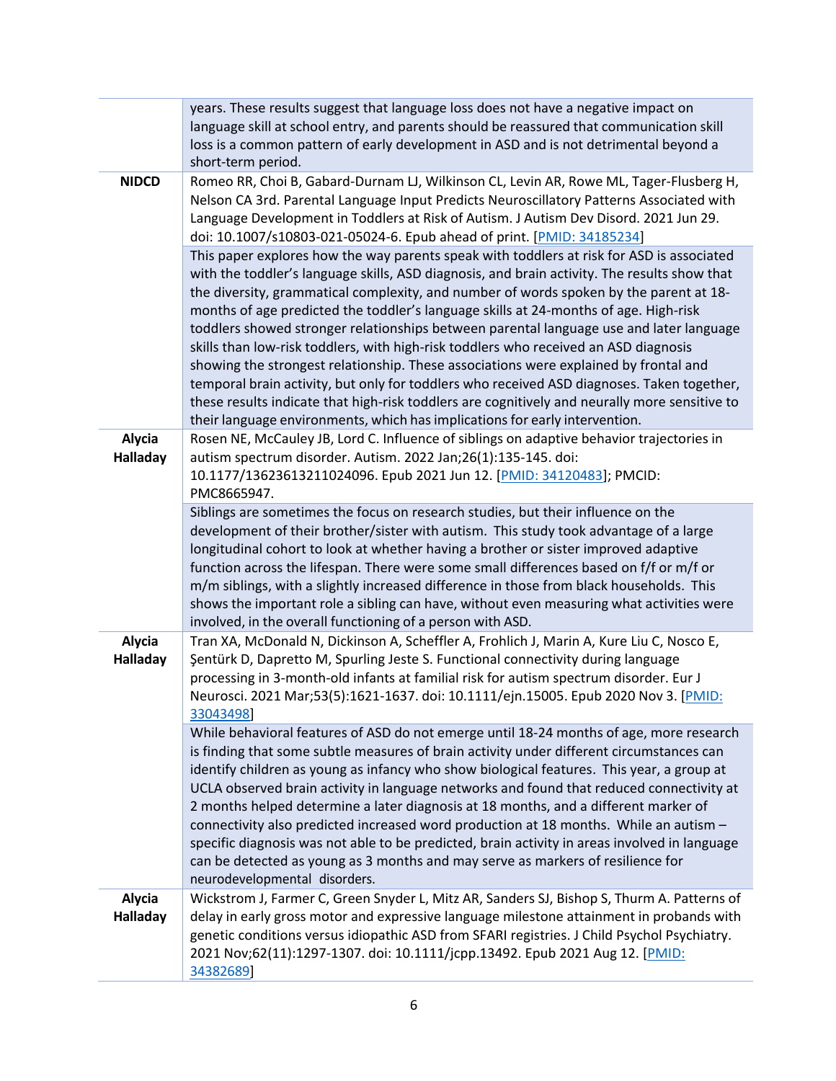|                    | years. These results suggest that language loss does not have a negative impact on<br>language skill at school entry, and parents should be reassured that communication skill<br>loss is a common pattern of early development in ASD and is not detrimental beyond a<br>short-term period.                                                                                                                                                                                                                                                                                                                                                                                                                                                                                                                                                                                                                                         |
|--------------------|--------------------------------------------------------------------------------------------------------------------------------------------------------------------------------------------------------------------------------------------------------------------------------------------------------------------------------------------------------------------------------------------------------------------------------------------------------------------------------------------------------------------------------------------------------------------------------------------------------------------------------------------------------------------------------------------------------------------------------------------------------------------------------------------------------------------------------------------------------------------------------------------------------------------------------------|
| <b>NIDCD</b>       | Romeo RR, Choi B, Gabard-Durnam LJ, Wilkinson CL, Levin AR, Rowe ML, Tager-Flusberg H,<br>Nelson CA 3rd. Parental Language Input Predicts Neuroscillatory Patterns Associated with<br>Language Development in Toddlers at Risk of Autism. J Autism Dev Disord. 2021 Jun 29.<br>doi: 10.1007/s10803-021-05024-6. Epub ahead of print. [PMID: 34185234]                                                                                                                                                                                                                                                                                                                                                                                                                                                                                                                                                                                |
|                    | This paper explores how the way parents speak with toddlers at risk for ASD is associated<br>with the toddler's language skills, ASD diagnosis, and brain activity. The results show that<br>the diversity, grammatical complexity, and number of words spoken by the parent at 18-<br>months of age predicted the toddler's language skills at 24-months of age. High-risk<br>toddlers showed stronger relationships between parental language use and later language<br>skills than low-risk toddlers, with high-risk toddlers who received an ASD diagnosis<br>showing the strongest relationship. These associations were explained by frontal and<br>temporal brain activity, but only for toddlers who received ASD diagnoses. Taken together,<br>these results indicate that high-risk toddlers are cognitively and neurally more sensitive to<br>their language environments, which has implications for early intervention. |
| Alycia<br>Halladay | Rosen NE, McCauley JB, Lord C. Influence of siblings on adaptive behavior trajectories in<br>autism spectrum disorder. Autism. 2022 Jan;26(1):135-145. doi:<br>10.1177/13623613211024096. Epub 2021 Jun 12. [PMID: 34120483]; PMCID:<br>PMC8665947.                                                                                                                                                                                                                                                                                                                                                                                                                                                                                                                                                                                                                                                                                  |
|                    | Siblings are sometimes the focus on research studies, but their influence on the<br>development of their brother/sister with autism. This study took advantage of a large<br>longitudinal cohort to look at whether having a brother or sister improved adaptive<br>function across the lifespan. There were some small differences based on f/f or m/f or<br>m/m siblings, with a slightly increased difference in those from black households. This<br>shows the important role a sibling can have, without even measuring what activities were<br>involved, in the overall functioning of a person with ASD.                                                                                                                                                                                                                                                                                                                      |
| Alycia<br>Halladay | Tran XA, McDonald N, Dickinson A, Scheffler A, Frohlich J, Marin A, Kure Liu C, Nosco E,<br>Şentürk D, Dapretto M, Spurling Jeste S. Functional connectivity during language<br>processing in 3-month-old infants at familial risk for autism spectrum disorder. Eur J<br>Neurosci. 2021 Mar;53(5):1621-1637. doi: 10.1111/ejn.15005. Epub 2020 Nov 3. [PMID:<br>33043498                                                                                                                                                                                                                                                                                                                                                                                                                                                                                                                                                            |
|                    | While behavioral features of ASD do not emerge until 18-24 months of age, more research<br>is finding that some subtle measures of brain activity under different circumstances can<br>identify children as young as infancy who show biological features. This year, a group at<br>UCLA observed brain activity in language networks and found that reduced connectivity at<br>2 months helped determine a later diagnosis at 18 months, and a different marker of<br>connectivity also predicted increased word production at 18 months. While an autism -<br>specific diagnosis was not able to be predicted, brain activity in areas involved in language<br>can be detected as young as 3 months and may serve as markers of resilience for<br>neurodevelopmental disorders.                                                                                                                                                    |
| Alycia<br>Halladay | Wickstrom J, Farmer C, Green Snyder L, Mitz AR, Sanders SJ, Bishop S, Thurm A. Patterns of<br>delay in early gross motor and expressive language milestone attainment in probands with<br>genetic conditions versus idiopathic ASD from SFARI registries. J Child Psychol Psychiatry.<br>2021 Nov;62(11):1297-1307. doi: 10.1111/jcpp.13492. Epub 2021 Aug 12. [PMID:<br>34382689]                                                                                                                                                                                                                                                                                                                                                                                                                                                                                                                                                   |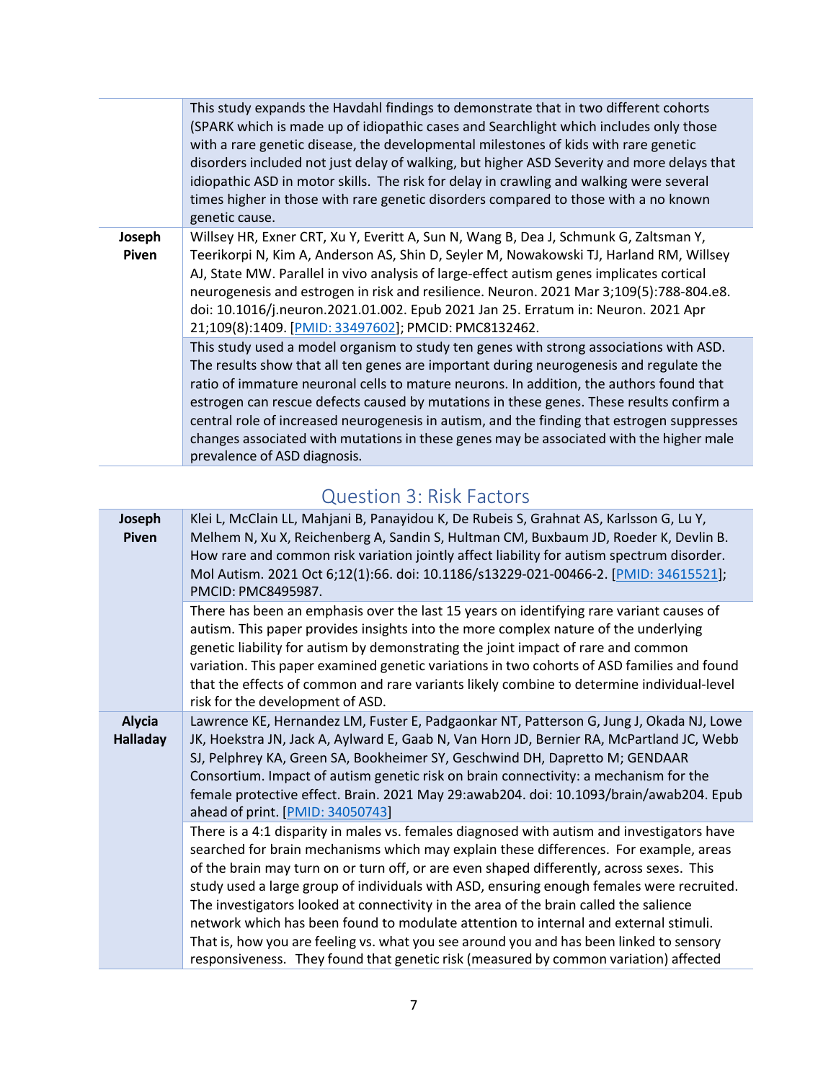|                 | This study expands the Havdahl findings to demonstrate that in two different cohorts<br>(SPARK which is made up of idiopathic cases and Searchlight which includes only those<br>with a rare genetic disease, the developmental milestones of kids with rare genetic<br>disorders included not just delay of walking, but higher ASD Severity and more delays that<br>idiopathic ASD in motor skills. The risk for delay in crawling and walking were several<br>times higher in those with rare genetic disorders compared to those with a no known<br>genetic cause.                          |
|-----------------|-------------------------------------------------------------------------------------------------------------------------------------------------------------------------------------------------------------------------------------------------------------------------------------------------------------------------------------------------------------------------------------------------------------------------------------------------------------------------------------------------------------------------------------------------------------------------------------------------|
| Joseph<br>Piven | Willsey HR, Exner CRT, Xu Y, Everitt A, Sun N, Wang B, Dea J, Schmunk G, Zaltsman Y,<br>Teerikorpi N, Kim A, Anderson AS, Shin D, Seyler M, Nowakowski TJ, Harland RM, Willsey<br>AJ, State MW. Parallel in vivo analysis of large-effect autism genes implicates cortical<br>neurogenesis and estrogen in risk and resilience. Neuron. 2021 Mar 3;109(5):788-804.e8.<br>doi: 10.1016/j.neuron.2021.01.002. Epub 2021 Jan 25. Erratum in: Neuron. 2021 Apr<br>21;109(8):1409. [PMID: 33497602]; PMCID: PMC8132462.                                                                              |
|                 | This study used a model organism to study ten genes with strong associations with ASD.<br>The results show that all ten genes are important during neurogenesis and regulate the<br>ratio of immature neuronal cells to mature neurons. In addition, the authors found that<br>estrogen can rescue defects caused by mutations in these genes. These results confirm a<br>central role of increased neurogenesis in autism, and the finding that estrogen suppresses<br>changes associated with mutations in these genes may be associated with the higher male<br>prevalence of ASD diagnosis. |

#### Question 3: Risk Factors

<span id="page-6-0"></span>

| Joseph<br><b>Piven</b>           | Klei L, McClain LL, Mahjani B, Panayidou K, De Rubeis S, Grahnat AS, Karlsson G, Lu Y,<br>Melhem N, Xu X, Reichenberg A, Sandin S, Hultman CM, Buxbaum JD, Roeder K, Devlin B.<br>How rare and common risk variation jointly affect liability for autism spectrum disorder.<br>Mol Autism. 2021 Oct 6;12(1):66. doi: 10.1186/s13229-021-00466-2. [PMID: 34615521];<br>PMCID: PMC8495987.                                                                                                                                                                                                                                                                 |
|----------------------------------|----------------------------------------------------------------------------------------------------------------------------------------------------------------------------------------------------------------------------------------------------------------------------------------------------------------------------------------------------------------------------------------------------------------------------------------------------------------------------------------------------------------------------------------------------------------------------------------------------------------------------------------------------------|
|                                  | There has been an emphasis over the last 15 years on identifying rare variant causes of<br>autism. This paper provides insights into the more complex nature of the underlying<br>genetic liability for autism by demonstrating the joint impact of rare and common<br>variation. This paper examined genetic variations in two cohorts of ASD families and found<br>that the effects of common and rare variants likely combine to determine individual-level<br>risk for the development of ASD.                                                                                                                                                       |
| <b>Alycia</b><br><b>Halladay</b> | Lawrence KE, Hernandez LM, Fuster E, Padgaonkar NT, Patterson G, Jung J, Okada NJ, Lowe<br>JK, Hoekstra JN, Jack A, Aylward E, Gaab N, Van Horn JD, Bernier RA, McPartland JC, Webb<br>SJ, Pelphrey KA, Green SA, Bookheimer SY, Geschwind DH, Dapretto M; GENDAAR<br>Consortium. Impact of autism genetic risk on brain connectivity: a mechanism for the<br>female protective effect. Brain. 2021 May 29:awab204. doi: 10.1093/brain/awab204. Epub<br>ahead of print. [PMID: 34050743]                                                                                                                                                                 |
|                                  | There is a 4:1 disparity in males vs. females diagnosed with autism and investigators have<br>searched for brain mechanisms which may explain these differences. For example, areas<br>of the brain may turn on or turn off, or are even shaped differently, across sexes. This<br>study used a large group of individuals with ASD, ensuring enough females were recruited.<br>The investigators looked at connectivity in the area of the brain called the salience<br>network which has been found to modulate attention to internal and external stimuli.<br>That is, how you are feeling vs. what you see around you and has been linked to sensory |
|                                  | responsiveness. They found that genetic risk (measured by common variation) affected                                                                                                                                                                                                                                                                                                                                                                                                                                                                                                                                                                     |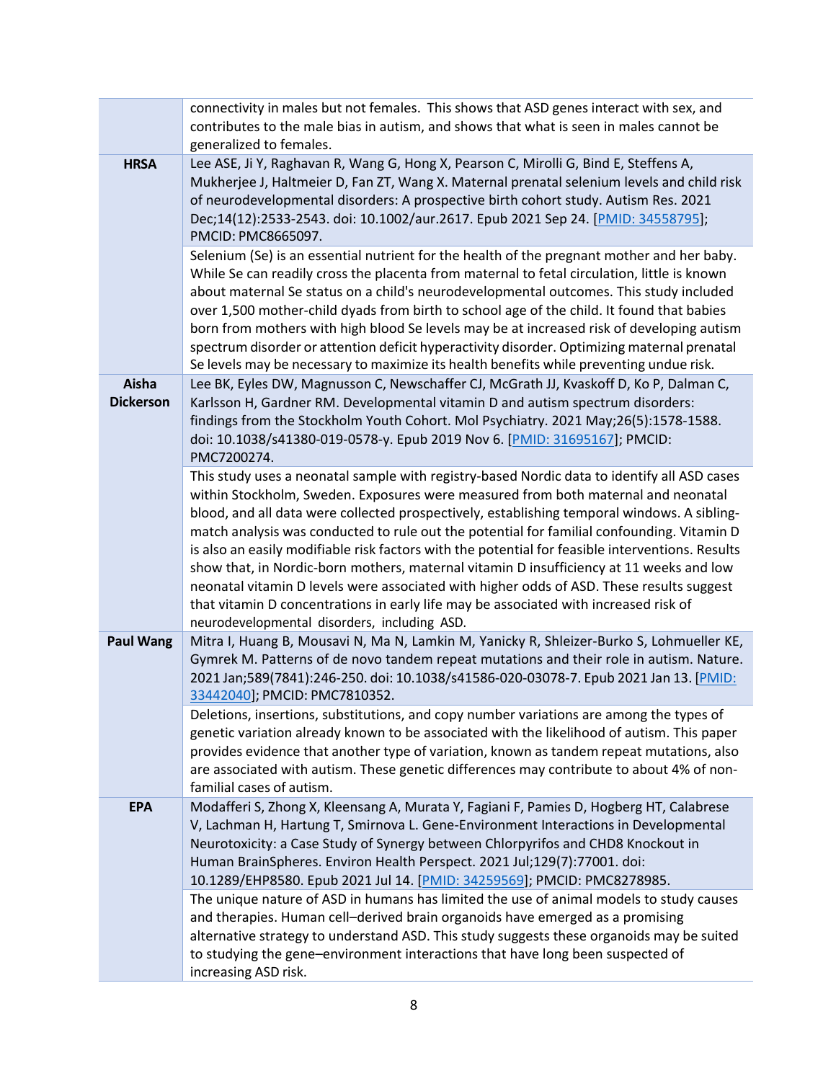|                           | connectivity in males but not females. This shows that ASD genes interact with sex, and                                                                                                                                                                                                                                                                                                                                                                                                                                                                                                                                                                                                                                                                                                                          |
|---------------------------|------------------------------------------------------------------------------------------------------------------------------------------------------------------------------------------------------------------------------------------------------------------------------------------------------------------------------------------------------------------------------------------------------------------------------------------------------------------------------------------------------------------------------------------------------------------------------------------------------------------------------------------------------------------------------------------------------------------------------------------------------------------------------------------------------------------|
|                           | contributes to the male bias in autism, and shows that what is seen in males cannot be                                                                                                                                                                                                                                                                                                                                                                                                                                                                                                                                                                                                                                                                                                                           |
|                           | generalized to females.                                                                                                                                                                                                                                                                                                                                                                                                                                                                                                                                                                                                                                                                                                                                                                                          |
| <b>HRSA</b>               | Lee ASE, Ji Y, Raghavan R, Wang G, Hong X, Pearson C, Mirolli G, Bind E, Steffens A,<br>Mukherjee J, Haltmeier D, Fan ZT, Wang X. Maternal prenatal selenium levels and child risk<br>of neurodevelopmental disorders: A prospective birth cohort study. Autism Res. 2021<br>Dec;14(12):2533-2543. doi: 10.1002/aur.2617. Epub 2021 Sep 24. [PMID: 34558795];<br>PMCID: PMC8665097.<br>Selenium (Se) is an essential nutrient for the health of the pregnant mother and her baby.                                                                                                                                                                                                                                                                                                                                |
|                           | While Se can readily cross the placenta from maternal to fetal circulation, little is known<br>about maternal Se status on a child's neurodevelopmental outcomes. This study included<br>over 1,500 mother-child dyads from birth to school age of the child. It found that babies<br>born from mothers with high blood Se levels may be at increased risk of developing autism<br>spectrum disorder or attention deficit hyperactivity disorder. Optimizing maternal prenatal<br>Se levels may be necessary to maximize its health benefits while preventing undue risk.                                                                                                                                                                                                                                        |
| Aisha<br><b>Dickerson</b> | Lee BK, Eyles DW, Magnusson C, Newschaffer CJ, McGrath JJ, Kvaskoff D, Ko P, Dalman C,<br>Karlsson H, Gardner RM. Developmental vitamin D and autism spectrum disorders:<br>findings from the Stockholm Youth Cohort. Mol Psychiatry. 2021 May;26(5):1578-1588.<br>doi: 10.1038/s41380-019-0578-y. Epub 2019 Nov 6. [PMID: 31695167]; PMCID:<br>PMC7200274.                                                                                                                                                                                                                                                                                                                                                                                                                                                      |
|                           | This study uses a neonatal sample with registry-based Nordic data to identify all ASD cases<br>within Stockholm, Sweden. Exposures were measured from both maternal and neonatal<br>blood, and all data were collected prospectively, establishing temporal windows. A sibling-<br>match analysis was conducted to rule out the potential for familial confounding. Vitamin D<br>is also an easily modifiable risk factors with the potential for feasible interventions. Results<br>show that, in Nordic-born mothers, maternal vitamin D insufficiency at 11 weeks and low<br>neonatal vitamin D levels were associated with higher odds of ASD. These results suggest<br>that vitamin D concentrations in early life may be associated with increased risk of<br>neurodevelopmental disorders, including ASD. |
| <b>Paul Wang</b>          | Mitra I, Huang B, Mousavi N, Ma N, Lamkin M, Yanicky R, Shleizer-Burko S, Lohmueller KE,<br>Gymrek M. Patterns of de novo tandem repeat mutations and their role in autism. Nature.<br>2021 Jan;589(7841):246-250. doi: 10.1038/s41586-020-03078-7. Epub 2021 Jan 13. [PMID:<br>33442040]; PMCID: PMC7810352.                                                                                                                                                                                                                                                                                                                                                                                                                                                                                                    |
|                           | Deletions, insertions, substitutions, and copy number variations are among the types of<br>genetic variation already known to be associated with the likelihood of autism. This paper<br>provides evidence that another type of variation, known as tandem repeat mutations, also<br>are associated with autism. These genetic differences may contribute to about 4% of non-<br>familial cases of autism.                                                                                                                                                                                                                                                                                                                                                                                                       |
| <b>EPA</b>                | Modafferi S, Zhong X, Kleensang A, Murata Y, Fagiani F, Pamies D, Hogberg HT, Calabrese<br>V, Lachman H, Hartung T, Smirnova L. Gene-Environment Interactions in Developmental<br>Neurotoxicity: a Case Study of Synergy between Chlorpyrifos and CHD8 Knockout in<br>Human BrainSpheres. Environ Health Perspect. 2021 Jul;129(7):77001. doi:<br>10.1289/EHP8580. Epub 2021 Jul 14. [PMID: 34259569]; PMCID: PMC8278985.                                                                                                                                                                                                                                                                                                                                                                                        |
|                           | The unique nature of ASD in humans has limited the use of animal models to study causes<br>and therapies. Human cell-derived brain organoids have emerged as a promising<br>alternative strategy to understand ASD. This study suggests these organoids may be suited<br>to studying the gene-environment interactions that have long been suspected of<br>increasing ASD risk.                                                                                                                                                                                                                                                                                                                                                                                                                                  |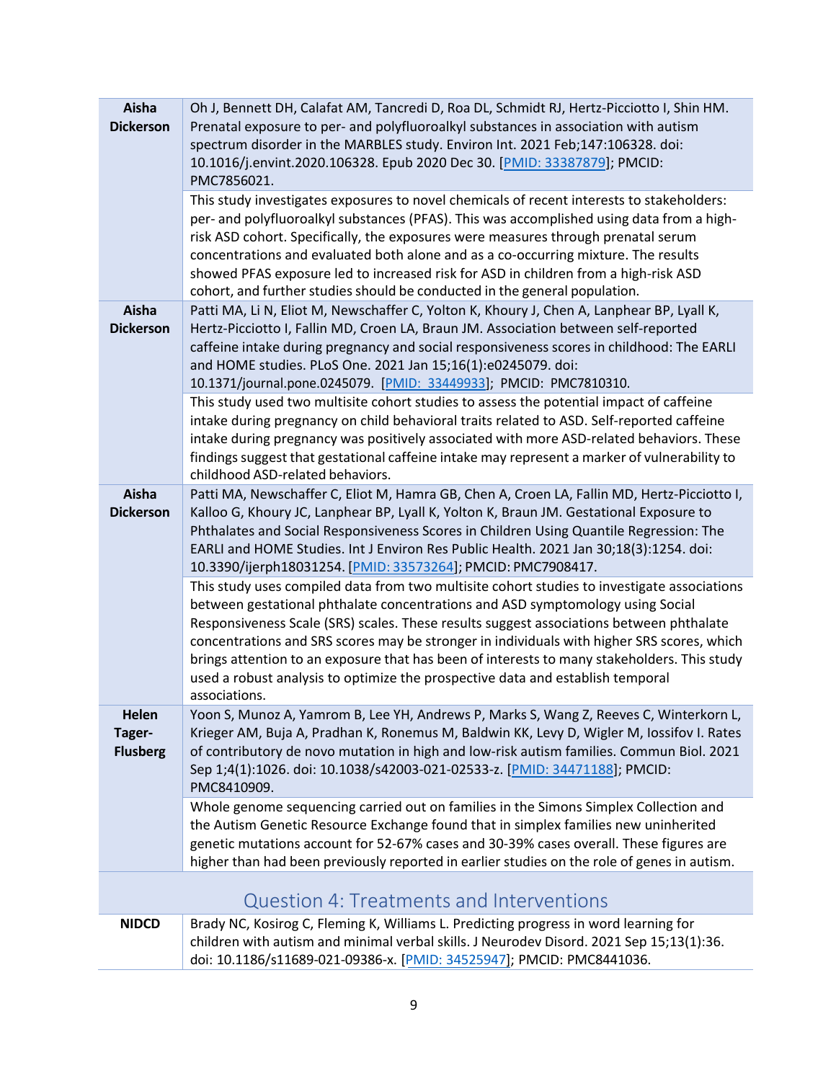<span id="page-8-0"></span>

| Aisha<br><b>Dickerson</b>          | Oh J, Bennett DH, Calafat AM, Tancredi D, Roa DL, Schmidt RJ, Hertz-Picciotto I, Shin HM.<br>Prenatal exposure to per- and polyfluoroalkyl substances in association with autism<br>spectrum disorder in the MARBLES study. Environ Int. 2021 Feb;147:106328. doi:<br>10.1016/j.envint.2020.106328. Epub 2020 Dec 30. [PMID: 33387879]; PMCID:<br>PMC7856021.<br>This study investigates exposures to novel chemicals of recent interests to stakeholders:<br>per- and polyfluoroalkyl substances (PFAS). This was accomplished using data from a high-<br>risk ASD cohort. Specifically, the exposures were measures through prenatal serum<br>concentrations and evaluated both alone and as a co-occurring mixture. The results<br>showed PFAS exposure led to increased risk for ASD in children from a high-risk ASD<br>cohort, and further studies should be conducted in the general population.                                                                                                              |
|------------------------------------|----------------------------------------------------------------------------------------------------------------------------------------------------------------------------------------------------------------------------------------------------------------------------------------------------------------------------------------------------------------------------------------------------------------------------------------------------------------------------------------------------------------------------------------------------------------------------------------------------------------------------------------------------------------------------------------------------------------------------------------------------------------------------------------------------------------------------------------------------------------------------------------------------------------------------------------------------------------------------------------------------------------------|
| Aisha<br><b>Dickerson</b>          | Patti MA, Li N, Eliot M, Newschaffer C, Yolton K, Khoury J, Chen A, Lanphear BP, Lyall K,<br>Hertz-Picciotto I, Fallin MD, Croen LA, Braun JM. Association between self-reported<br>caffeine intake during pregnancy and social responsiveness scores in childhood: The EARLI<br>and HOME studies. PLoS One. 2021 Jan 15;16(1):e0245079. doi:<br>10.1371/journal.pone.0245079. [PMID: 33449933]; PMCID: PMC7810310.<br>This study used two multisite cohort studies to assess the potential impact of caffeine<br>intake during pregnancy on child behavioral traits related to ASD. Self-reported caffeine<br>intake during pregnancy was positively associated with more ASD-related behaviors. These<br>findings suggest that gestational caffeine intake may represent a marker of vulnerability to<br>childhood ASD-related behaviors.                                                                                                                                                                          |
| Aisha<br><b>Dickerson</b>          | Patti MA, Newschaffer C, Eliot M, Hamra GB, Chen A, Croen LA, Fallin MD, Hertz-Picciotto I,<br>Kalloo G, Khoury JC, Lanphear BP, Lyall K, Yolton K, Braun JM. Gestational Exposure to<br>Phthalates and Social Responsiveness Scores in Children Using Quantile Regression: The<br>EARLI and HOME Studies. Int J Environ Res Public Health. 2021 Jan 30;18(3):1254. doi:<br>10.3390/ijerph18031254. [PMID: 33573264]; PMCID: PMC7908417.<br>This study uses compiled data from two multisite cohort studies to investigate associations<br>between gestational phthalate concentrations and ASD symptomology using Social<br>Responsiveness Scale (SRS) scales. These results suggest associations between phthalate<br>concentrations and SRS scores may be stronger in individuals with higher SRS scores, which<br>brings attention to an exposure that has been of interests to many stakeholders. This study<br>used a robust analysis to optimize the prospective data and establish temporal<br>associations. |
| Helen<br>Tager-<br><b>Flusberg</b> | Yoon S, Munoz A, Yamrom B, Lee YH, Andrews P, Marks S, Wang Z, Reeves C, Winterkorn L,<br>Krieger AM, Buja A, Pradhan K, Ronemus M, Baldwin KK, Levy D, Wigler M, Iossifov I. Rates<br>of contributory de novo mutation in high and low-risk autism families. Commun Biol. 2021<br>Sep 1;4(1):1026. doi: 10.1038/s42003-021-02533-z. [PMID: 34471188]; PMCID:<br>PMC8410909.<br>Whole genome sequencing carried out on families in the Simons Simplex Collection and<br>the Autism Genetic Resource Exchange found that in simplex families new uninherited<br>genetic mutations account for 52-67% cases and 30-39% cases overall. These figures are<br>higher than had been previously reported in earlier studies on the role of genes in autism.                                                                                                                                                                                                                                                                 |
|                                    | <b>Question 4: Treatments and Interventions</b>                                                                                                                                                                                                                                                                                                                                                                                                                                                                                                                                                                                                                                                                                                                                                                                                                                                                                                                                                                      |
| <b>NIDCD</b>                       | Brady NC, Kosirog C, Fleming K, Williams L. Predicting progress in word learning for<br>children with autism and minimal verbal skills. J Neurodev Disord. 2021 Sep 15;13(1):36.<br>doi: 10.1186/s11689-021-09386-x. [PMID: 34525947]; PMCID: PMC8441036.                                                                                                                                                                                                                                                                                                                                                                                                                                                                                                                                                                                                                                                                                                                                                            |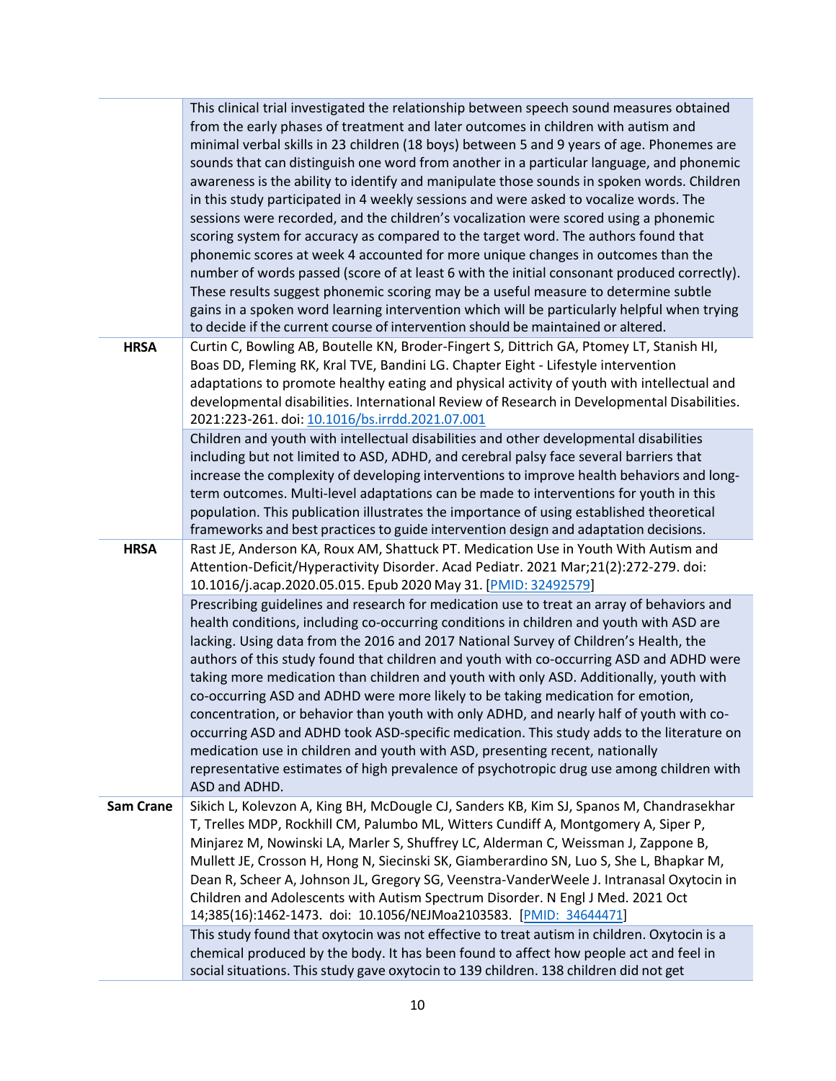|                  | This clinical trial investigated the relationship between speech sound measures obtained<br>from the early phases of treatment and later outcomes in children with autism and<br>minimal verbal skills in 23 children (18 boys) between 5 and 9 years of age. Phonemes are<br>sounds that can distinguish one word from another in a particular language, and phonemic<br>awareness is the ability to identify and manipulate those sounds in spoken words. Children<br>in this study participated in 4 weekly sessions and were asked to vocalize words. The<br>sessions were recorded, and the children's vocalization were scored using a phonemic                                                                                                                                                                                                                                                                                                                                                                                                                                                                                                                                      |
|------------------|--------------------------------------------------------------------------------------------------------------------------------------------------------------------------------------------------------------------------------------------------------------------------------------------------------------------------------------------------------------------------------------------------------------------------------------------------------------------------------------------------------------------------------------------------------------------------------------------------------------------------------------------------------------------------------------------------------------------------------------------------------------------------------------------------------------------------------------------------------------------------------------------------------------------------------------------------------------------------------------------------------------------------------------------------------------------------------------------------------------------------------------------------------------------------------------------|
|                  | scoring system for accuracy as compared to the target word. The authors found that<br>phonemic scores at week 4 accounted for more unique changes in outcomes than the<br>number of words passed (score of at least 6 with the initial consonant produced correctly).<br>These results suggest phonemic scoring may be a useful measure to determine subtle<br>gains in a spoken word learning intervention which will be particularly helpful when trying<br>to decide if the current course of intervention should be maintained or altered.                                                                                                                                                                                                                                                                                                                                                                                                                                                                                                                                                                                                                                             |
| <b>HRSA</b>      | Curtin C, Bowling AB, Boutelle KN, Broder-Fingert S, Dittrich GA, Ptomey LT, Stanish HI,<br>Boas DD, Fleming RK, Kral TVE, Bandini LG. Chapter Eight - Lifestyle intervention<br>adaptations to promote healthy eating and physical activity of youth with intellectual and<br>developmental disabilities. International Review of Research in Developmental Disabilities.<br>2021:223-261. doi: 10.1016/bs.irrdd.2021.07.001                                                                                                                                                                                                                                                                                                                                                                                                                                                                                                                                                                                                                                                                                                                                                              |
|                  | Children and youth with intellectual disabilities and other developmental disabilities<br>including but not limited to ASD, ADHD, and cerebral palsy face several barriers that<br>increase the complexity of developing interventions to improve health behaviors and long-<br>term outcomes. Multi-level adaptations can be made to interventions for youth in this<br>population. This publication illustrates the importance of using established theoretical<br>frameworks and best practices to guide intervention design and adaptation decisions.                                                                                                                                                                                                                                                                                                                                                                                                                                                                                                                                                                                                                                  |
| <b>HRSA</b>      | Rast JE, Anderson KA, Roux AM, Shattuck PT. Medication Use in Youth With Autism and<br>Attention-Deficit/Hyperactivity Disorder. Acad Pediatr. 2021 Mar;21(2):272-279. doi:<br>10.1016/j.acap.2020.05.015. Epub 2020 May 31. [PMID: 32492579]<br>Prescribing guidelines and research for medication use to treat an array of behaviors and<br>health conditions, including co-occurring conditions in children and youth with ASD are<br>lacking. Using data from the 2016 and 2017 National Survey of Children's Health, the<br>authors of this study found that children and youth with co-occurring ASD and ADHD were<br>taking more medication than children and youth with only ASD. Additionally, youth with<br>co-occurring ASD and ADHD were more likely to be taking medication for emotion,<br>concentration, or behavior than youth with only ADHD, and nearly half of youth with co-<br>occurring ASD and ADHD took ASD-specific medication. This study adds to the literature on<br>medication use in children and youth with ASD, presenting recent, nationally<br>representative estimates of high prevalence of psychotropic drug use among children with<br>ASD and ADHD. |
| <b>Sam Crane</b> | Sikich L, Kolevzon A, King BH, McDougle CJ, Sanders KB, Kim SJ, Spanos M, Chandrasekhar<br>T, Trelles MDP, Rockhill CM, Palumbo ML, Witters Cundiff A, Montgomery A, Siper P,<br>Minjarez M, Nowinski LA, Marler S, Shuffrey LC, Alderman C, Weissman J, Zappone B,<br>Mullett JE, Crosson H, Hong N, Siecinski SK, Giamberardino SN, Luo S, She L, Bhapkar M,<br>Dean R, Scheer A, Johnson JL, Gregory SG, Veenstra-VanderWeele J. Intranasal Oxytocin in<br>Children and Adolescents with Autism Spectrum Disorder. N Engl J Med. 2021 Oct<br>14;385(16):1462-1473. doi: 10.1056/NEJMoa2103583. [PMID: 34644471]                                                                                                                                                                                                                                                                                                                                                                                                                                                                                                                                                                         |
|                  | This study found that oxytocin was not effective to treat autism in children. Oxytocin is a<br>chemical produced by the body. It has been found to affect how people act and feel in<br>social situations. This study gave oxytocin to 139 children. 138 children did not get                                                                                                                                                                                                                                                                                                                                                                                                                                                                                                                                                                                                                                                                                                                                                                                                                                                                                                              |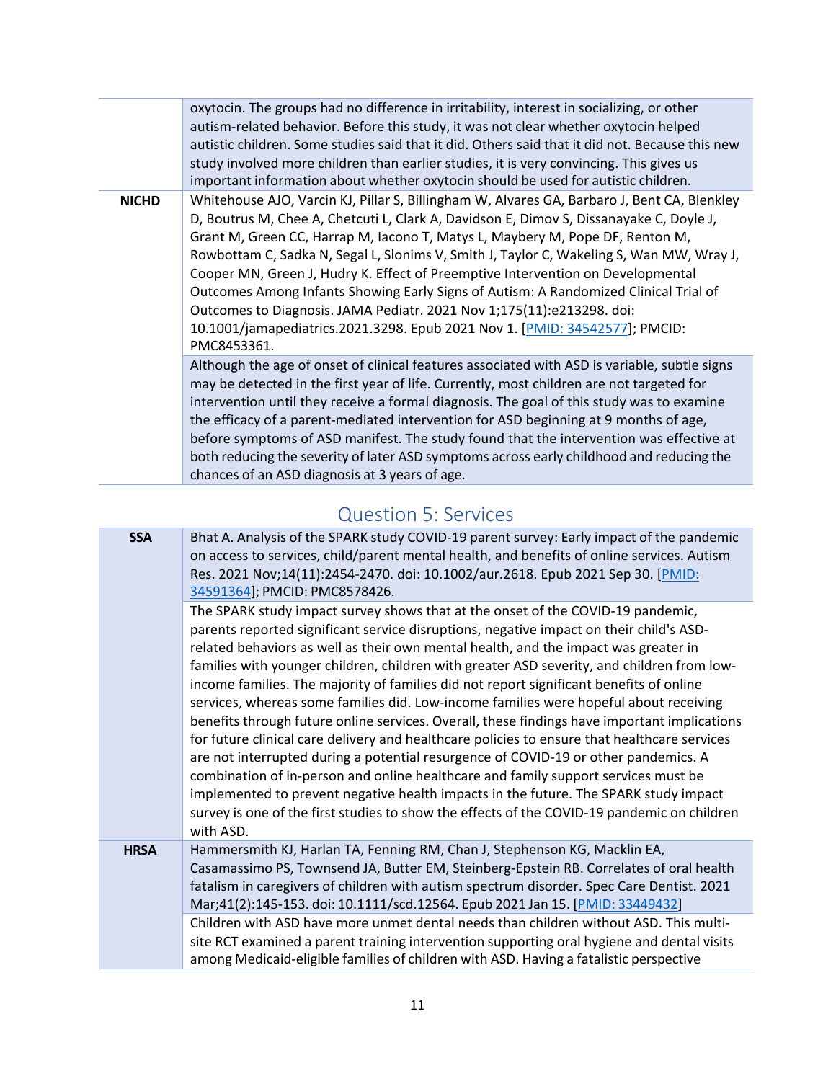|              | oxytocin. The groups had no difference in irritability, interest in socializing, or other<br>autism-related behavior. Before this study, it was not clear whether oxytocin helped<br>autistic children. Some studies said that it did. Others said that it did not. Because this new<br>study involved more children than earlier studies, it is very convincing. This gives us<br>important information about whether oxytocin should be used for autistic children.                                                                                                                                                                                                                                                 |
|--------------|-----------------------------------------------------------------------------------------------------------------------------------------------------------------------------------------------------------------------------------------------------------------------------------------------------------------------------------------------------------------------------------------------------------------------------------------------------------------------------------------------------------------------------------------------------------------------------------------------------------------------------------------------------------------------------------------------------------------------|
| <b>NICHD</b> | Whitehouse AJO, Varcin KJ, Pillar S, Billingham W, Alvares GA, Barbaro J, Bent CA, Blenkley<br>D, Boutrus M, Chee A, Chetcuti L, Clark A, Davidson E, Dimov S, Dissanayake C, Doyle J,<br>Grant M, Green CC, Harrap M, Iacono T, Matys L, Maybery M, Pope DF, Renton M,<br>Rowbottam C, Sadka N, Segal L, Slonims V, Smith J, Taylor C, Wakeling S, Wan MW, Wray J,<br>Cooper MN, Green J, Hudry K. Effect of Preemptive Intervention on Developmental<br>Outcomes Among Infants Showing Early Signs of Autism: A Randomized Clinical Trial of<br>Outcomes to Diagnosis. JAMA Pediatr. 2021 Nov 1;175(11):e213298. doi:<br>10.1001/jamapediatrics.2021.3298. Epub 2021 Nov 1. [PMID: 34542577]; PMCID:<br>PMC8453361. |
|              | Although the age of onset of clinical features associated with ASD is variable, subtle signs<br>may be detected in the first year of life. Currently, most children are not targeted for<br>intervention until they receive a formal diagnosis. The goal of this study was to examine<br>the efficacy of a parent-mediated intervention for ASD beginning at 9 months of age,<br>before symptoms of ASD manifest. The study found that the intervention was effective at<br>both reducing the severity of later ASD symptoms across early childhood and reducing the<br>chances of an ASD diagnosis at 3 years of age.                                                                                                |

#### Question 5: Services

<span id="page-10-0"></span>

| Bhat A. Analysis of the SPARK study COVID-19 parent survey: Early impact of the pandemic<br>on access to services, child/parent mental health, and benefits of online services. Autism<br>Res. 2021 Nov;14(11):2454-2470. doi: 10.1002/aur.2618. Epub 2021 Sep 30. [PMID:<br>34591364]; PMCID: PMC8578426.                                                                                                                                                                                                                                                                                                                                                                                                                                                                                                                                                                                                                                                                                                                                                                                                                           |
|--------------------------------------------------------------------------------------------------------------------------------------------------------------------------------------------------------------------------------------------------------------------------------------------------------------------------------------------------------------------------------------------------------------------------------------------------------------------------------------------------------------------------------------------------------------------------------------------------------------------------------------------------------------------------------------------------------------------------------------------------------------------------------------------------------------------------------------------------------------------------------------------------------------------------------------------------------------------------------------------------------------------------------------------------------------------------------------------------------------------------------------|
| The SPARK study impact survey shows that at the onset of the COVID-19 pandemic,<br>parents reported significant service disruptions, negative impact on their child's ASD-<br>related behaviors as well as their own mental health, and the impact was greater in<br>families with younger children, children with greater ASD severity, and children from low-<br>income families. The majority of families did not report significant benefits of online<br>services, whereas some families did. Low-income families were hopeful about receiving<br>benefits through future online services. Overall, these findings have important implications<br>for future clinical care delivery and healthcare policies to ensure that healthcare services<br>are not interrupted during a potential resurgence of COVID-19 or other pandemics. A<br>combination of in-person and online healthcare and family support services must be<br>implemented to prevent negative health impacts in the future. The SPARK study impact<br>survey is one of the first studies to show the effects of the COVID-19 pandemic on children<br>with ASD. |
| Hammersmith KJ, Harlan TA, Fenning RM, Chan J, Stephenson KG, Macklin EA,<br>Casamassimo PS, Townsend JA, Butter EM, Steinberg-Epstein RB. Correlates of oral health<br>fatalism in caregivers of children with autism spectrum disorder. Spec Care Dentist. 2021<br>Mar;41(2):145-153. doi: 10.1111/scd.12564. Epub 2021 Jan 15. [PMID: 33449432]<br>Children with ASD have more unmet dental needs than children without ASD. This multi-<br>site RCT examined a parent training intervention supporting oral hygiene and dental visits<br>among Medicaid-eligible families of children with ASD. Having a fatalistic perspective                                                                                                                                                                                                                                                                                                                                                                                                                                                                                                  |
|                                                                                                                                                                                                                                                                                                                                                                                                                                                                                                                                                                                                                                                                                                                                                                                                                                                                                                                                                                                                                                                                                                                                      |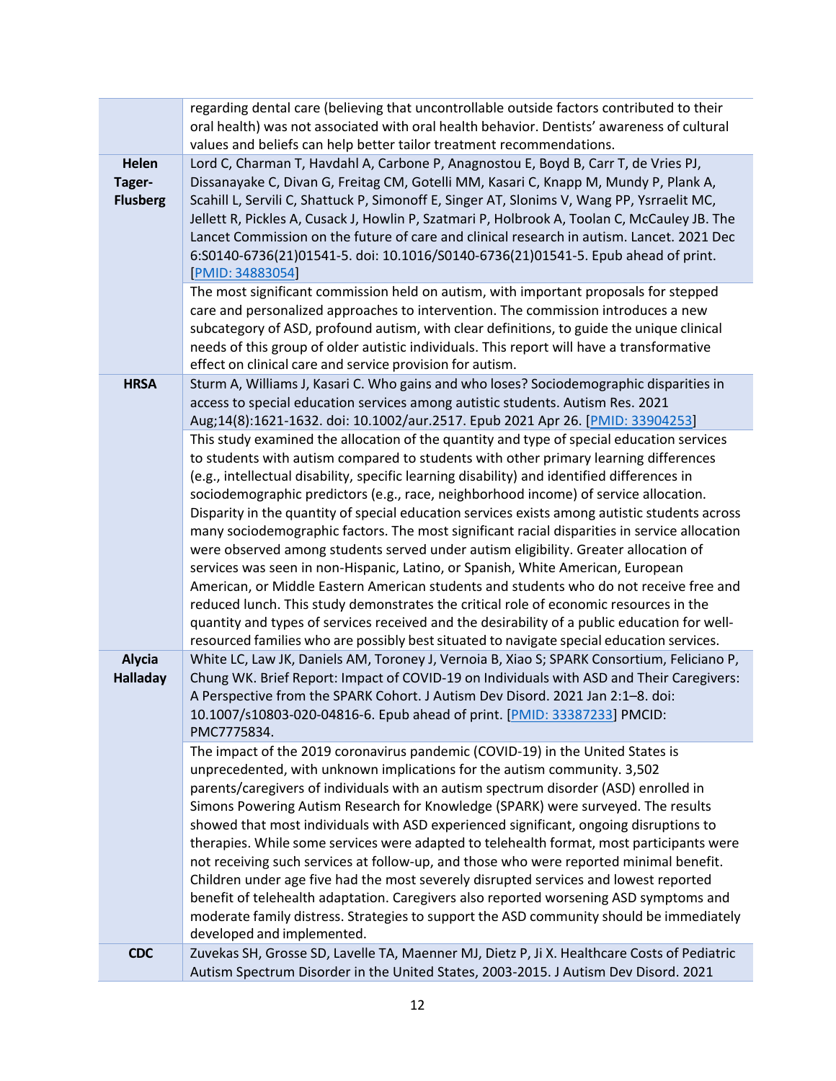|                                           | regarding dental care (believing that uncontrollable outside factors contributed to their<br>oral health) was not associated with oral health behavior. Dentists' awareness of cultural<br>values and beliefs can help better tailor treatment recommendations.                                                                                                                                                                                                                                                                                                                                                                                                                                                                                                                                                                                                                                                                                                                                                                                                                                                                     |
|-------------------------------------------|-------------------------------------------------------------------------------------------------------------------------------------------------------------------------------------------------------------------------------------------------------------------------------------------------------------------------------------------------------------------------------------------------------------------------------------------------------------------------------------------------------------------------------------------------------------------------------------------------------------------------------------------------------------------------------------------------------------------------------------------------------------------------------------------------------------------------------------------------------------------------------------------------------------------------------------------------------------------------------------------------------------------------------------------------------------------------------------------------------------------------------------|
| <b>Helen</b><br>Tager-<br><b>Flusberg</b> | Lord C, Charman T, Havdahl A, Carbone P, Anagnostou E, Boyd B, Carr T, de Vries PJ,<br>Dissanayake C, Divan G, Freitag CM, Gotelli MM, Kasari C, Knapp M, Mundy P, Plank A,<br>Scahill L, Servili C, Shattuck P, Simonoff E, Singer AT, Slonims V, Wang PP, Ysrraelit MC,<br>Jellett R, Pickles A, Cusack J, Howlin P, Szatmari P, Holbrook A, Toolan C, McCauley JB. The<br>Lancet Commission on the future of care and clinical research in autism. Lancet. 2021 Dec<br>6:S0140-6736(21)01541-5. doi: 10.1016/S0140-6736(21)01541-5. Epub ahead of print.<br>[PMID: 34883054]<br>The most significant commission held on autism, with important proposals for stepped                                                                                                                                                                                                                                                                                                                                                                                                                                                             |
|                                           | care and personalized approaches to intervention. The commission introduces a new<br>subcategory of ASD, profound autism, with clear definitions, to guide the unique clinical<br>needs of this group of older autistic individuals. This report will have a transformative<br>effect on clinical care and service provision for autism.                                                                                                                                                                                                                                                                                                                                                                                                                                                                                                                                                                                                                                                                                                                                                                                            |
| <b>HRSA</b>                               | Sturm A, Williams J, Kasari C. Who gains and who loses? Sociodemographic disparities in<br>access to special education services among autistic students. Autism Res. 2021<br>Aug;14(8):1621-1632. doi: 10.1002/aur.2517. Epub 2021 Apr 26. [PMID: 33904253]                                                                                                                                                                                                                                                                                                                                                                                                                                                                                                                                                                                                                                                                                                                                                                                                                                                                         |
|                                           | This study examined the allocation of the quantity and type of special education services<br>to students with autism compared to students with other primary learning differences<br>(e.g., intellectual disability, specific learning disability) and identified differences in<br>sociodemographic predictors (e.g., race, neighborhood income) of service allocation.<br>Disparity in the quantity of special education services exists among autistic students across<br>many sociodemographic factors. The most significant racial disparities in service allocation<br>were observed among students served under autism eligibility. Greater allocation of<br>services was seen in non-Hispanic, Latino, or Spanish, White American, European<br>American, or Middle Eastern American students and students who do not receive free and<br>reduced lunch. This study demonstrates the critical role of economic resources in the<br>quantity and types of services received and the desirability of a public education for well-<br>resourced families who are possibly best situated to navigate special education services. |
| <b>Alycia</b><br><b>Halladay</b>          | White LC, Law JK, Daniels AM, Toroney J, Vernoia B, Xiao S; SPARK Consortium, Feliciano P,<br>Chung WK. Brief Report: Impact of COVID-19 on Individuals with ASD and Their Caregivers:<br>A Perspective from the SPARK Cohort. J Autism Dev Disord. 2021 Jan 2:1-8. doi:<br>10.1007/s10803-020-04816-6. Epub ahead of print. [PMID: 33387233] PMCID:<br>PMC7775834.                                                                                                                                                                                                                                                                                                                                                                                                                                                                                                                                                                                                                                                                                                                                                                 |
|                                           | The impact of the 2019 coronavirus pandemic (COVID-19) in the United States is<br>unprecedented, with unknown implications for the autism community. 3,502<br>parents/caregivers of individuals with an autism spectrum disorder (ASD) enrolled in<br>Simons Powering Autism Research for Knowledge (SPARK) were surveyed. The results<br>showed that most individuals with ASD experienced significant, ongoing disruptions to<br>therapies. While some services were adapted to telehealth format, most participants were<br>not receiving such services at follow-up, and those who were reported minimal benefit.<br>Children under age five had the most severely disrupted services and lowest reported<br>benefit of telehealth adaptation. Caregivers also reported worsening ASD symptoms and<br>moderate family distress. Strategies to support the ASD community should be immediately<br>developed and implemented.                                                                                                                                                                                                     |
| <b>CDC</b>                                | Zuvekas SH, Grosse SD, Lavelle TA, Maenner MJ, Dietz P, Ji X. Healthcare Costs of Pediatric<br>Autism Spectrum Disorder in the United States, 2003-2015. J Autism Dev Disord. 2021                                                                                                                                                                                                                                                                                                                                                                                                                                                                                                                                                                                                                                                                                                                                                                                                                                                                                                                                                  |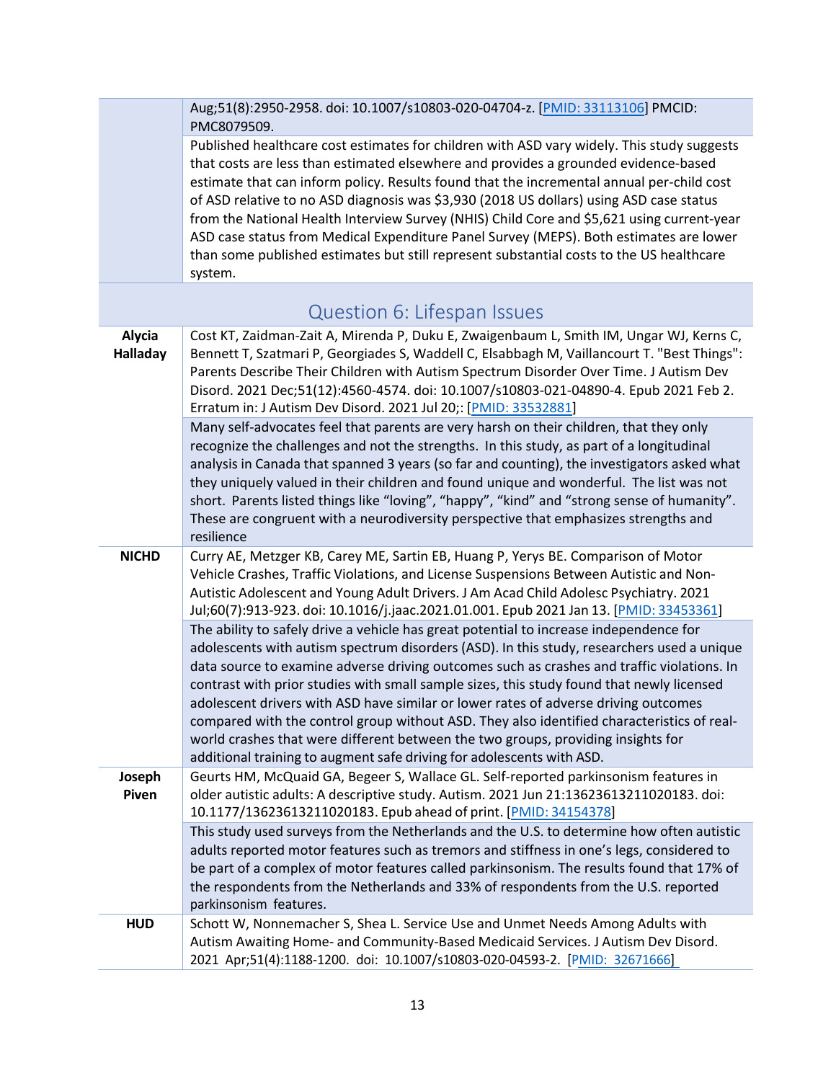<span id="page-12-0"></span>

|                           | Aug;51(8):2950-2958. doi: 10.1007/s10803-020-04704-z. [PMID: 33113106] PMCID:<br>PMC8079509.                                                                                                                                                                                                                                                                                                                                                                                                                                                                                                                                                                                                                                      |
|---------------------------|-----------------------------------------------------------------------------------------------------------------------------------------------------------------------------------------------------------------------------------------------------------------------------------------------------------------------------------------------------------------------------------------------------------------------------------------------------------------------------------------------------------------------------------------------------------------------------------------------------------------------------------------------------------------------------------------------------------------------------------|
|                           | Published healthcare cost estimates for children with ASD vary widely. This study suggests<br>that costs are less than estimated elsewhere and provides a grounded evidence-based<br>estimate that can inform policy. Results found that the incremental annual per-child cost<br>of ASD relative to no ASD diagnosis was \$3,930 (2018 US dollars) using ASD case status<br>from the National Health Interview Survey (NHIS) Child Core and \$5,621 using current-year<br>ASD case status from Medical Expenditure Panel Survey (MEPS). Both estimates are lower<br>than some published estimates but still represent substantial costs to the US healthcare<br>system.                                                          |
|                           | Question 6: Lifespan Issues                                                                                                                                                                                                                                                                                                                                                                                                                                                                                                                                                                                                                                                                                                       |
| Alycia<br><b>Halladay</b> | Cost KT, Zaidman-Zait A, Mirenda P, Duku E, Zwaigenbaum L, Smith IM, Ungar WJ, Kerns C,<br>Bennett T, Szatmari P, Georgiades S, Waddell C, Elsabbagh M, Vaillancourt T. "Best Things":<br>Parents Describe Their Children with Autism Spectrum Disorder Over Time. J Autism Dev<br>Disord. 2021 Dec;51(12):4560-4574. doi: 10.1007/s10803-021-04890-4. Epub 2021 Feb 2.<br>Erratum in: J Autism Dev Disord. 2021 Jul 20;: [PMID: 33532881]                                                                                                                                                                                                                                                                                        |
|                           | Many self-advocates feel that parents are very harsh on their children, that they only<br>recognize the challenges and not the strengths. In this study, as part of a longitudinal<br>analysis in Canada that spanned 3 years (so far and counting), the investigators asked what<br>they uniquely valued in their children and found unique and wonderful. The list was not<br>short. Parents listed things like "loving", "happy", "kind" and "strong sense of humanity".<br>These are congruent with a neurodiversity perspective that emphasizes strengths and<br>resilience                                                                                                                                                  |
| <b>NICHD</b>              | Curry AE, Metzger KB, Carey ME, Sartin EB, Huang P, Yerys BE. Comparison of Motor<br>Vehicle Crashes, Traffic Violations, and License Suspensions Between Autistic and Non-<br>Autistic Adolescent and Young Adult Drivers. J Am Acad Child Adolesc Psychiatry. 2021<br>Jul;60(7):913-923. doi: 10.1016/j.jaac.2021.01.001. Epub 2021 Jan 13. [PMID: 33453361]                                                                                                                                                                                                                                                                                                                                                                    |
|                           | The ability to safely drive a vehicle has great potential to increase independence for<br>adolescents with autism spectrum disorders (ASD). In this study, researchers used a unique<br>data source to examine adverse driving outcomes such as crashes and traffic violations. In<br>contrast with prior studies with small sample sizes, this study found that newly licensed<br>adolescent drivers with ASD have similar or lower rates of adverse driving outcomes<br>compared with the control group without ASD. They also identified characteristics of real-<br>world crashes that were different between the two groups, providing insights for<br>additional training to augment safe driving for adolescents with ASD. |
| Joseph<br>Piven           | Geurts HM, McQuaid GA, Begeer S, Wallace GL. Self-reported parkinsonism features in<br>older autistic adults: A descriptive study. Autism. 2021 Jun 21:13623613211020183. doi:<br>10.1177/13623613211020183. Epub ahead of print. [PMID: 34154378]                                                                                                                                                                                                                                                                                                                                                                                                                                                                                |
|                           | This study used surveys from the Netherlands and the U.S. to determine how often autistic<br>adults reported motor features such as tremors and stiffness in one's legs, considered to<br>be part of a complex of motor features called parkinsonism. The results found that 17% of<br>the respondents from the Netherlands and 33% of respondents from the U.S. reported<br>parkinsonism features.                                                                                                                                                                                                                                                                                                                               |
| <b>HUD</b>                | Schott W, Nonnemacher S, Shea L. Service Use and Unmet Needs Among Adults with<br>Autism Awaiting Home- and Community-Based Medicaid Services. J Autism Dev Disord.<br>2021 Apr;51(4):1188-1200. doi: 10.1007/s10803-020-04593-2. [PMID: 32671666]                                                                                                                                                                                                                                                                                                                                                                                                                                                                                |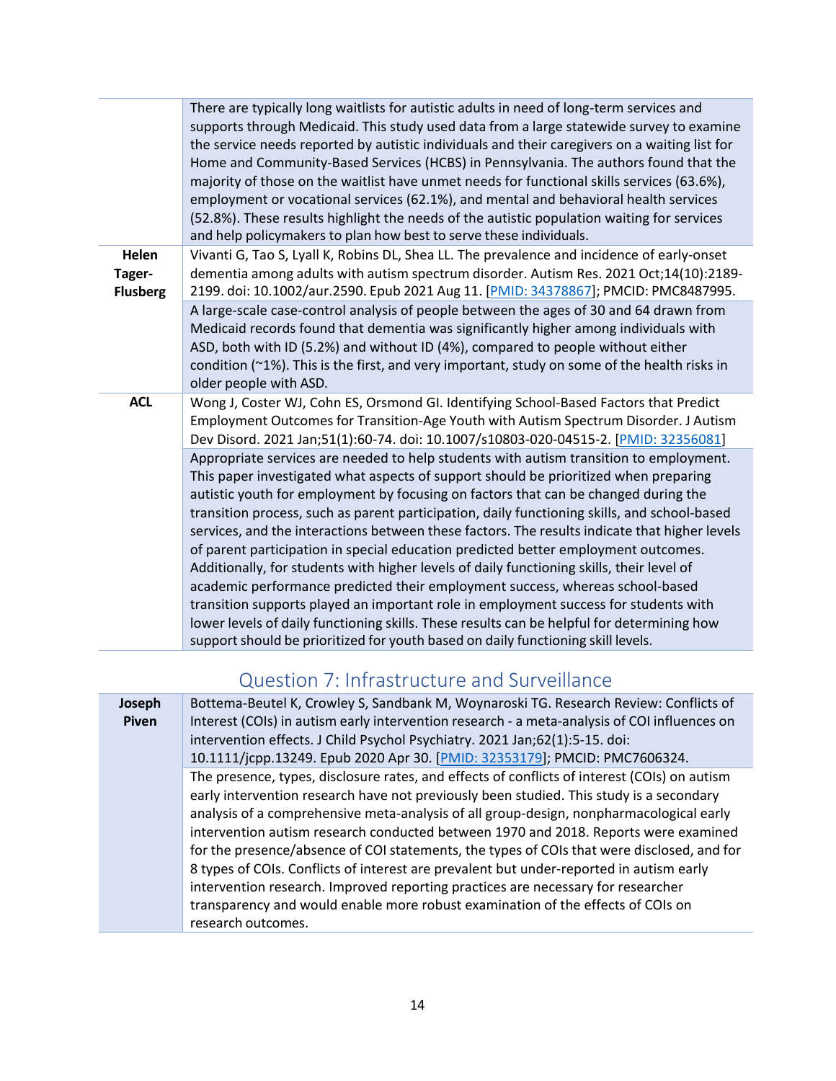|                                    | There are typically long waitlists for autistic adults in need of long-term services and<br>supports through Medicaid. This study used data from a large statewide survey to examine<br>the service needs reported by autistic individuals and their caregivers on a waiting list for<br>Home and Community-Based Services (HCBS) in Pennsylvania. The authors found that the<br>majority of those on the waitlist have unmet needs for functional skills services (63.6%),<br>employment or vocational services (62.1%), and mental and behavioral health services<br>(52.8%). These results highlight the needs of the autistic population waiting for services<br>and help policymakers to plan how best to serve these individuals.                                                                                                                                                                                                                                                                              |
|------------------------------------|----------------------------------------------------------------------------------------------------------------------------------------------------------------------------------------------------------------------------------------------------------------------------------------------------------------------------------------------------------------------------------------------------------------------------------------------------------------------------------------------------------------------------------------------------------------------------------------------------------------------------------------------------------------------------------------------------------------------------------------------------------------------------------------------------------------------------------------------------------------------------------------------------------------------------------------------------------------------------------------------------------------------|
| Helen<br>Tager-<br><b>Flusberg</b> | Vivanti G, Tao S, Lyall K, Robins DL, Shea LL. The prevalence and incidence of early-onset<br>dementia among adults with autism spectrum disorder. Autism Res. 2021 Oct;14(10):2189-<br>2199. doi: 10.1002/aur.2590. Epub 2021 Aug 11. [PMID: 34378867]; PMCID: PMC8487995.                                                                                                                                                                                                                                                                                                                                                                                                                                                                                                                                                                                                                                                                                                                                          |
|                                    | A large-scale case-control analysis of people between the ages of 30 and 64 drawn from<br>Medicaid records found that dementia was significantly higher among individuals with<br>ASD, both with ID (5.2%) and without ID (4%), compared to people without either<br>condition (~1%). This is the first, and very important, study on some of the health risks in<br>older people with ASD.                                                                                                                                                                                                                                                                                                                                                                                                                                                                                                                                                                                                                          |
| <b>ACL</b>                         | Wong J, Coster WJ, Cohn ES, Orsmond GI. Identifying School-Based Factors that Predict<br>Employment Outcomes for Transition-Age Youth with Autism Spectrum Disorder. J Autism<br>Dev Disord. 2021 Jan;51(1):60-74. doi: 10.1007/s10803-020-04515-2. [PMID: 32356081]                                                                                                                                                                                                                                                                                                                                                                                                                                                                                                                                                                                                                                                                                                                                                 |
|                                    | Appropriate services are needed to help students with autism transition to employment.<br>This paper investigated what aspects of support should be prioritized when preparing<br>autistic youth for employment by focusing on factors that can be changed during the<br>transition process, such as parent participation, daily functioning skills, and school-based<br>services, and the interactions between these factors. The results indicate that higher levels<br>of parent participation in special education predicted better employment outcomes.<br>Additionally, for students with higher levels of daily functioning skills, their level of<br>academic performance predicted their employment success, whereas school-based<br>transition supports played an important role in employment success for students with<br>lower levels of daily functioning skills. These results can be helpful for determining how<br>support should be prioritized for youth based on daily functioning skill levels. |

## Question 7: Infrastructure and Surveillance

<span id="page-13-0"></span>

| Joseph<br><b>Piven</b> | Bottema-Beutel K, Crowley S, Sandbank M, Woynaroski TG. Research Review: Conflicts of<br>Interest (COIs) in autism early intervention research - a meta-analysis of COI influences on<br>intervention effects. J Child Psychol Psychiatry. 2021 Jan;62(1):5-15. doi:<br>10.1111/jcpp.13249. Epub 2020 Apr 30. [PMID: 32353179]; PMCID: PMC7606324.                                                                                                                                                                                                                                                                                                                                                                                                              |
|------------------------|-----------------------------------------------------------------------------------------------------------------------------------------------------------------------------------------------------------------------------------------------------------------------------------------------------------------------------------------------------------------------------------------------------------------------------------------------------------------------------------------------------------------------------------------------------------------------------------------------------------------------------------------------------------------------------------------------------------------------------------------------------------------|
|                        | The presence, types, disclosure rates, and effects of conflicts of interest (COIs) on autism<br>early intervention research have not previously been studied. This study is a secondary<br>analysis of a comprehensive meta-analysis of all group-design, nonpharmacological early<br>intervention autism research conducted between 1970 and 2018. Reports were examined<br>for the presence/absence of COI statements, the types of COIs that were disclosed, and for<br>8 types of COIs. Conflicts of interest are prevalent but under-reported in autism early<br>intervention research. Improved reporting practices are necessary for researcher<br>transparency and would enable more robust examination of the effects of COIs on<br>research outcomes. |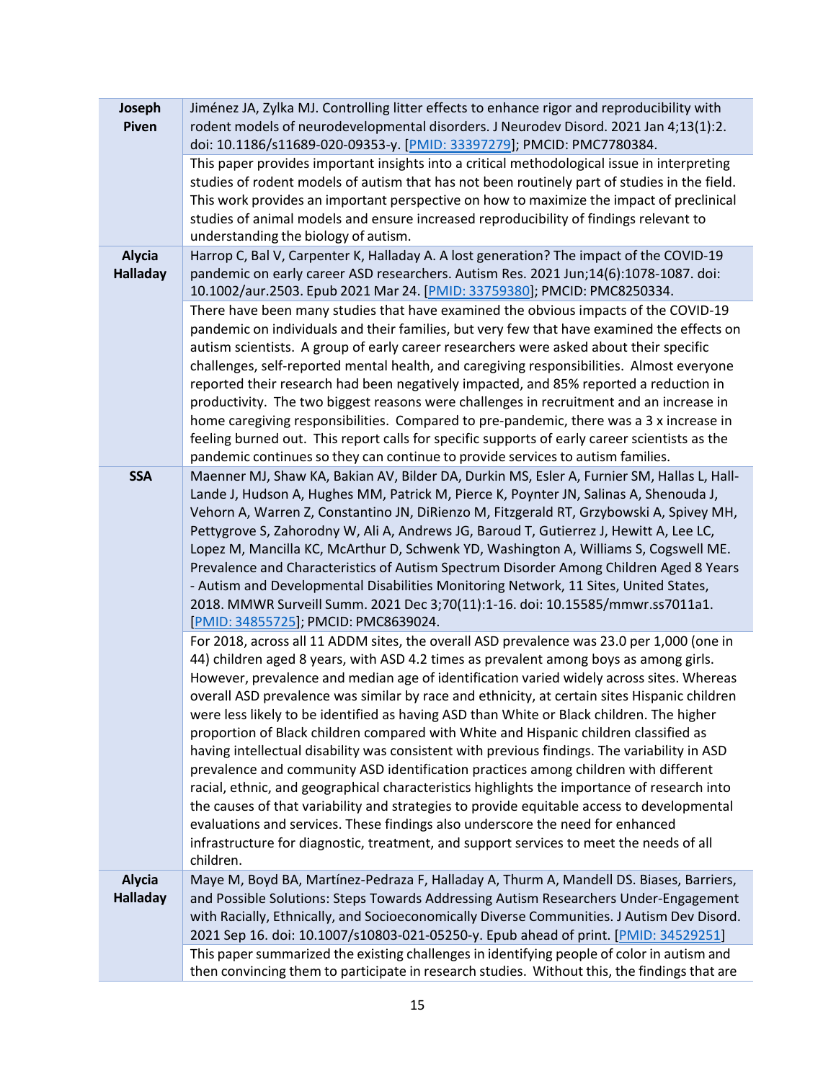| Joseph<br>Piven                  | Jiménez JA, Zylka MJ. Controlling litter effects to enhance rigor and reproducibility with<br>rodent models of neurodevelopmental disorders. J Neurodev Disord. 2021 Jan 4;13(1):2.<br>doi: 10.1186/s11689-020-09353-y. [PMID: 33397279]; PMCID: PMC7780384.                                                                                                                                                                                                                                                                                                                                                                                                                                                                                                                                                                                                                                                                                                                                                                                                                                                                                     |
|----------------------------------|--------------------------------------------------------------------------------------------------------------------------------------------------------------------------------------------------------------------------------------------------------------------------------------------------------------------------------------------------------------------------------------------------------------------------------------------------------------------------------------------------------------------------------------------------------------------------------------------------------------------------------------------------------------------------------------------------------------------------------------------------------------------------------------------------------------------------------------------------------------------------------------------------------------------------------------------------------------------------------------------------------------------------------------------------------------------------------------------------------------------------------------------------|
|                                  | This paper provides important insights into a critical methodological issue in interpreting<br>studies of rodent models of autism that has not been routinely part of studies in the field.<br>This work provides an important perspective on how to maximize the impact of preclinical<br>studies of animal models and ensure increased reproducibility of findings relevant to<br>understanding the biology of autism.                                                                                                                                                                                                                                                                                                                                                                                                                                                                                                                                                                                                                                                                                                                         |
| <b>Alycia</b><br><b>Halladay</b> | Harrop C, Bal V, Carpenter K, Halladay A. A lost generation? The impact of the COVID-19<br>pandemic on early career ASD researchers. Autism Res. 2021 Jun;14(6):1078-1087. doi:<br>10.1002/aur.2503. Epub 2021 Mar 24. [PMID: 33759380]; PMCID: PMC8250334.                                                                                                                                                                                                                                                                                                                                                                                                                                                                                                                                                                                                                                                                                                                                                                                                                                                                                      |
|                                  | There have been many studies that have examined the obvious impacts of the COVID-19<br>pandemic on individuals and their families, but very few that have examined the effects on<br>autism scientists. A group of early career researchers were asked about their specific<br>challenges, self-reported mental health, and caregiving responsibilities. Almost everyone<br>reported their research had been negatively impacted, and 85% reported a reduction in<br>productivity. The two biggest reasons were challenges in recruitment and an increase in<br>home caregiving responsibilities. Compared to pre-pandemic, there was a 3 x increase in<br>feeling burned out. This report calls for specific supports of early career scientists as the<br>pandemic continues so they can continue to provide services to autism families.                                                                                                                                                                                                                                                                                                      |
| <b>SSA</b>                       | Maenner MJ, Shaw KA, Bakian AV, Bilder DA, Durkin MS, Esler A, Furnier SM, Hallas L, Hall-<br>Lande J, Hudson A, Hughes MM, Patrick M, Pierce K, Poynter JN, Salinas A, Shenouda J,<br>Vehorn A, Warren Z, Constantino JN, DiRienzo M, Fitzgerald RT, Grzybowski A, Spivey MH,<br>Pettygrove S, Zahorodny W, Ali A, Andrews JG, Baroud T, Gutierrez J, Hewitt A, Lee LC,<br>Lopez M, Mancilla KC, McArthur D, Schwenk YD, Washington A, Williams S, Cogswell ME.<br>Prevalence and Characteristics of Autism Spectrum Disorder Among Children Aged 8 Years<br>- Autism and Developmental Disabilities Monitoring Network, 11 Sites, United States,<br>2018. MMWR Surveill Summ. 2021 Dec 3;70(11):1-16. doi: 10.15585/mmwr.ss7011a1.<br>[PMID: 34855725]; PMCID: PMC8639024.                                                                                                                                                                                                                                                                                                                                                                     |
|                                  | For 2018, across all 11 ADDM sites, the overall ASD prevalence was 23.0 per 1,000 (one in<br>44) children aged 8 years, with ASD 4.2 times as prevalent among boys as among girls.<br>However, prevalence and median age of identification varied widely across sites. Whereas<br>overall ASD prevalence was similar by race and ethnicity, at certain sites Hispanic children<br>were less likely to be identified as having ASD than White or Black children. The higher<br>proportion of Black children compared with White and Hispanic children classified as<br>having intellectual disability was consistent with previous findings. The variability in ASD<br>prevalence and community ASD identification practices among children with different<br>racial, ethnic, and geographical characteristics highlights the importance of research into<br>the causes of that variability and strategies to provide equitable access to developmental<br>evaluations and services. These findings also underscore the need for enhanced<br>infrastructure for diagnostic, treatment, and support services to meet the needs of all<br>children. |
| <b>Alycia</b><br><b>Halladay</b> | Maye M, Boyd BA, Martínez-Pedraza F, Halladay A, Thurm A, Mandell DS. Biases, Barriers,<br>and Possible Solutions: Steps Towards Addressing Autism Researchers Under-Engagement<br>with Racially, Ethnically, and Socioeconomically Diverse Communities. J Autism Dev Disord.<br>2021 Sep 16. doi: 10.1007/s10803-021-05250-y. Epub ahead of print. [PMID: 34529251]                                                                                                                                                                                                                                                                                                                                                                                                                                                                                                                                                                                                                                                                                                                                                                             |
|                                  | This paper summarized the existing challenges in identifying people of color in autism and<br>then convincing them to participate in research studies. Without this, the findings that are                                                                                                                                                                                                                                                                                                                                                                                                                                                                                                                                                                                                                                                                                                                                                                                                                                                                                                                                                       |